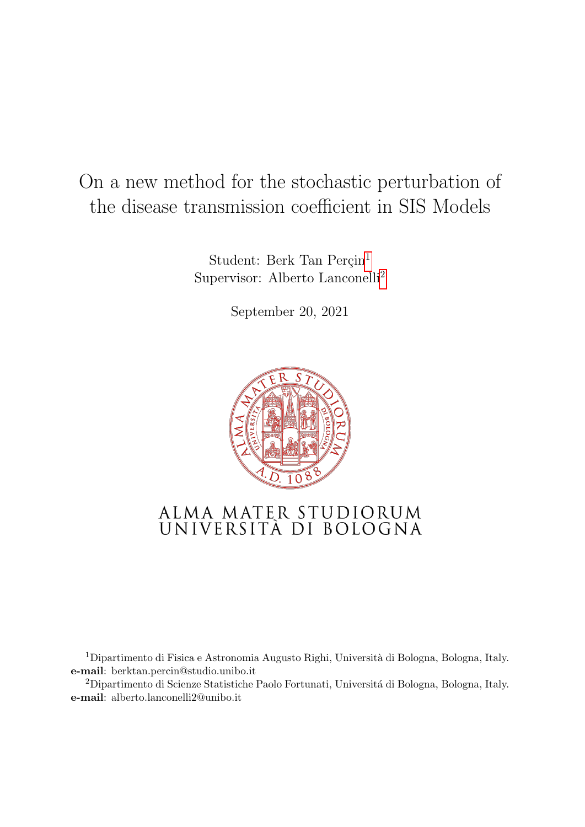# On a new method for the stochastic perturbation of the disease transmission coefficient in SIS Models

Student: Berk Tan Perçin<sup>1</sup> Supervisor: Alberto Lanconelli<sup>2</sup>

September 20, 2021



# ALMA MATER STUDIORUM<br>UNIVERSITÀ DI BOLOGNA

<sup>1</sup>Dipartimento di Fisica e Astronomia Augusto Righi, Università di Bologna, Bologna, Italy. e-mail: berktan.percin@studio.unibo.it

<sup>2</sup>Dipartimento di Scienze Statistiche Paolo Fortunati, Università di Bologna, Bologna, Italy. e-mail: alberto.lanconelli2@unibo.it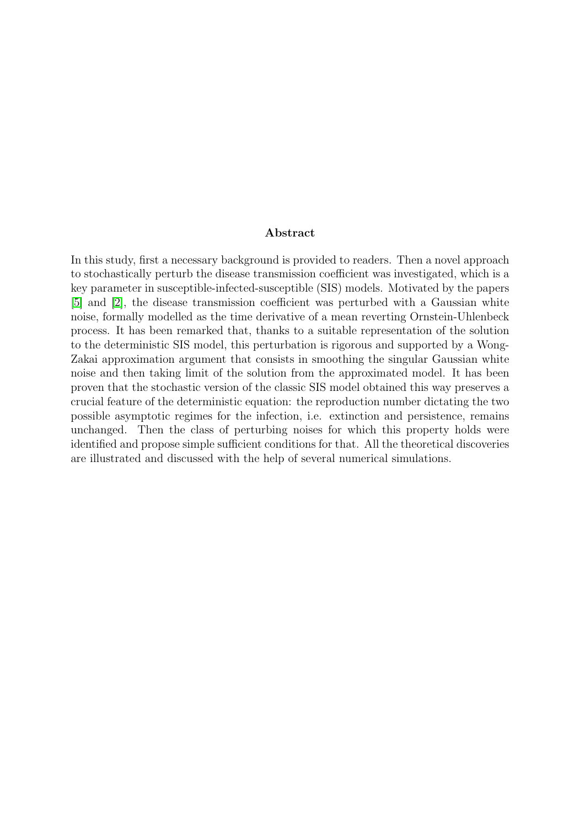#### Abstract

In this study, first a necessary background is provided to readers. Then a novel approach to stochastically perturb the disease transmission coefficient was investigated, which is a key parameter in susceptible-infected-susceptible (SIS) models. Motivated by the papers [\[5\]](#page-37-0) and [\[2\]](#page-37-1), the disease transmission coefficient was perturbed with a Gaussian white noise, formally modelled as the time derivative of a mean reverting Ornstein-Uhlenbeck process. It has been remarked that, thanks to a suitable representation of the solution to the deterministic SIS model, this perturbation is rigorous and supported by a Wong-Zakai approximation argument that consists in smoothing the singular Gaussian white noise and then taking limit of the solution from the approximated model. It has been proven that the stochastic version of the classic SIS model obtained this way preserves a crucial feature of the deterministic equation: the reproduction number dictating the two possible asymptotic regimes for the infection, i.e. extinction and persistence, remains unchanged. Then the class of perturbing noises for which this property holds were identified and propose simple sufficient conditions for that. All the theoretical discoveries are illustrated and discussed with the help of several numerical simulations.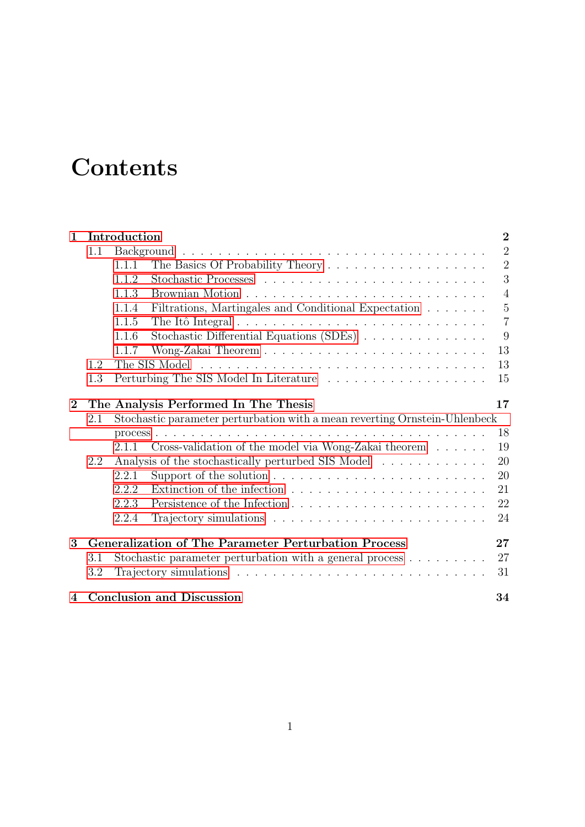# **Contents**

| $\mathbf 1$    | Introduction                                                                      |                                                    |                                                                                         | $\overline{2}$ |
|----------------|-----------------------------------------------------------------------------------|----------------------------------------------------|-----------------------------------------------------------------------------------------|----------------|
|                | 1.1                                                                               |                                                    |                                                                                         | $\overline{2}$ |
|                |                                                                                   | 1.1.1                                              |                                                                                         | $\overline{2}$ |
|                |                                                                                   | 1.1.2                                              |                                                                                         | 3              |
|                |                                                                                   | 1.1.3                                              |                                                                                         | $\overline{4}$ |
|                |                                                                                   | 1.1.4                                              | Filtrations, Martingales and Conditional Expectation                                    | $\overline{5}$ |
|                |                                                                                   | 1.1.5                                              | The Itô Integral $\ldots \ldots \ldots \ldots \ldots \ldots \ldots \ldots \ldots$       | $\overline{7}$ |
|                |                                                                                   | 1.1.6                                              | Stochastic Differential Equations (SDEs)                                                | 9              |
|                |                                                                                   | 1.1.7                                              |                                                                                         | 13             |
|                | 1.2                                                                               |                                                    |                                                                                         | 13             |
|                | 1.3                                                                               |                                                    |                                                                                         | 15             |
| $\overline{2}$ |                                                                                   |                                                    | The Analysis Performed In The Thesis                                                    | 17             |
|                | Stochastic parameter perturbation with a mean reverting Ornstein-Uhlenbeck<br>2.1 |                                                    |                                                                                         |                |
|                |                                                                                   |                                                    |                                                                                         | 18             |
|                |                                                                                   | 2.1.1                                              | Cross-validation of the model via Wong-Zakai theorem $\ldots \ldots$                    | 19             |
|                | 2.2                                                                               | Analysis of the stochastically perturbed SIS Model |                                                                                         |                |
|                |                                                                                   | 2.2.1                                              |                                                                                         | 20<br>20       |
|                |                                                                                   | 2.2.2                                              | Extinction of the infection $\ldots \ldots \ldots \ldots \ldots \ldots \ldots \ldots$   | 21             |
|                |                                                                                   | 2.2.3                                              |                                                                                         | 22             |
|                |                                                                                   | 2.2.4                                              |                                                                                         | 24             |
| 3              | <b>Generalization of The Parameter Perturbation Process</b><br>27                 |                                                    |                                                                                         |                |
|                | 3.1                                                                               |                                                    |                                                                                         | 27             |
|                |                                                                                   |                                                    | Stochastic parameter perturbation with a general process $\dots \dots \dots$            |                |
|                | 3.2                                                                               |                                                    | Trajectory simulations $\ldots \ldots \ldots \ldots \ldots \ldots \ldots \ldots \ldots$ | 31             |
| $\overline{4}$ |                                                                                   | <b>Conclusion and Discussion</b><br>34             |                                                                                         |                |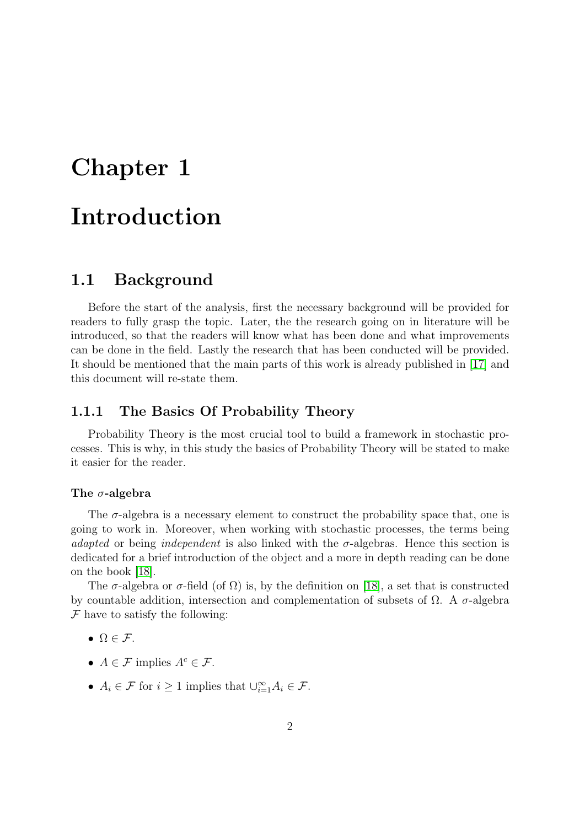# <span id="page-3-0"></span>Chapter 1 Introduction

# <span id="page-3-1"></span>1.1 Background

Before the start of the analysis, first the necessary background will be provided for readers to fully grasp the topic. Later, the the research going on in literature will be introduced, so that the readers will know what has been done and what improvements can be done in the field. Lastly the research that has been conducted will be provided. It should be mentioned that the main parts of this work is already published in [\[17\]](#page-38-0) and this document will re-state them.

## <span id="page-3-2"></span>1.1.1 The Basics Of Probability Theory

Probability Theory is the most crucial tool to build a framework in stochastic processes. This is why, in this study the basics of Probability Theory will be stated to make it easier for the reader.

#### The  $\sigma$ -algebra

The  $\sigma$ -algebra is a necessary element to construct the probability space that, one is going to work in. Moreover, when working with stochastic processes, the terms being adapted or being independent is also linked with the  $\sigma$ -algebras. Hence this section is dedicated for a brief introduction of the object and a more in depth reading can be done on the book [\[18\]](#page-38-1).

The  $\sigma$ -algebra or  $\sigma$ -field (of  $\Omega$ ) is, by the definition on [\[18\]](#page-38-1), a set that is constructed by countable addition, intersection and complementation of subsets of  $\Omega$ . A  $\sigma$ -algebra  $\mathcal F$  have to satisfy the following:

- $\Omega \in \mathcal{F}$ .
- $A \in \mathcal{F}$  implies  $A^c \in \mathcal{F}$ .
- $A_i \in \mathcal{F}$  for  $i \geq 1$  implies that  $\bigcup_{i=1}^{\infty} A_i \in \mathcal{F}$ .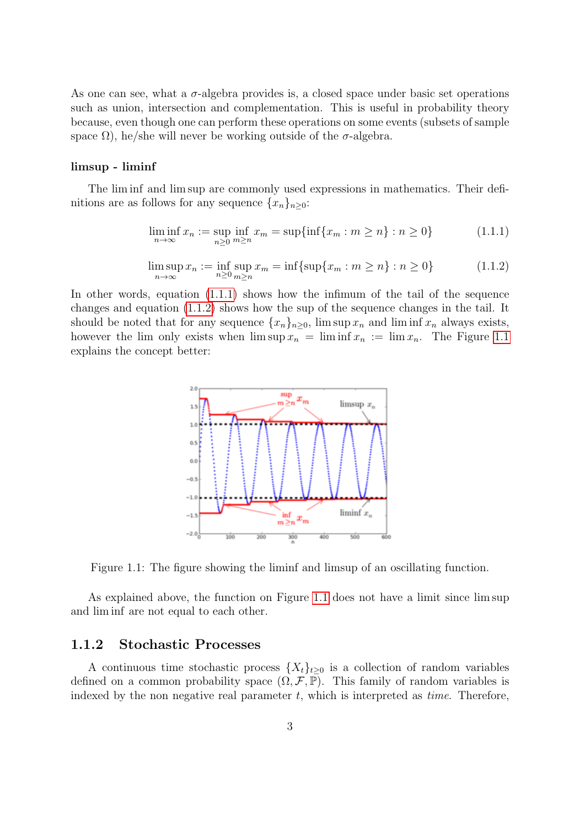As one can see, what a  $\sigma$ -algebra provides is, a closed space under basic set operations such as union, intersection and complementation. This is useful in probability theory because, even though one can perform these operations on some events (subsets of sample space  $\Omega$ ), he/she will never be working outside of the  $\sigma$ -algebra.

#### limsup - liminf

The lim inf and lim sup are commonly used expressions in mathematics. Their definitions are as follows for any sequence  $\{x_n\}_{n\geq 0}$ :

<span id="page-4-1"></span>
$$
\liminf_{n \to \infty} x_n := \sup_{n \ge 0} \inf_{m \ge n} x_m = \sup \{ \inf \{ x_m : m \ge n \} : n \ge 0 \}
$$
\n(1.1.1)

<span id="page-4-2"></span>
$$
\limsup_{n \to \infty} x_n := \inf_{n \ge 0} \sup_{m \ge n} x_m = \inf \{ \sup \{ x_m : m \ge n \} : n \ge 0 \}
$$
 (1.1.2)

<span id="page-4-3"></span>In other words, equation [\(1.1.1\)](#page-4-1) shows how the infimum of the tail of the sequence changes and equation [\(1.1.2\)](#page-4-2) shows how the sup of the sequence changes in the tail. It should be noted that for any sequence  $\{x_n\}_{n>0}$ , lim sup  $x_n$  and lim inf  $x_n$  always exists, however the lim only exists when  $\limsup x_n = \liminf x_n := \lim x_n$ . The Figure [1.1](#page-4-3) explains the concept better:



Figure 1.1: The figure showing the liminf and limsup of an oscillating function.

As explained above, the function on Figure [1.1](#page-4-3) does not have a limit since lim sup and lim inf are not equal to each other.

#### <span id="page-4-0"></span>1.1.2 Stochastic Processes

A continuous time stochastic process  $\{X_t\}_{t>0}$  is a collection of random variables defined on a common probability space  $(\Omega, \mathcal{F}, \mathbb{P})$ . This family of random variables is indexed by the non negative real parameter  $t$ , which is interpreted as *time*. Therefore,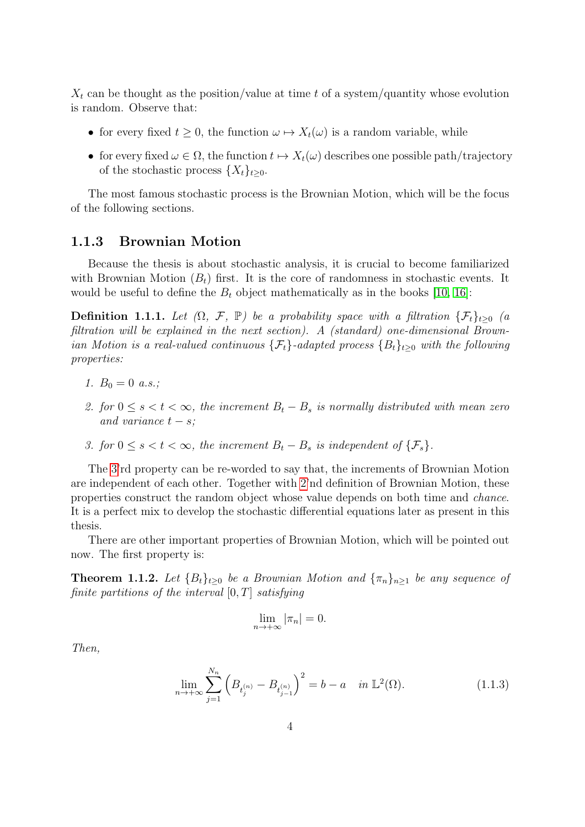$X_t$  can be thought as the position/value at time t of a system/quantity whose evolution is random. Observe that:

- for every fixed  $t \geq 0$ , the function  $\omega \mapsto X_t(\omega)$  is a random variable, while
- for every fixed  $\omega \in \Omega$ , the function  $t \mapsto X_t(\omega)$  describes one possible path/trajectory of the stochastic process  $\{X_t\}_{t\geq0}$ .

The most famous stochastic process is the Brownian Motion, which will be the focus of the following sections.

### <span id="page-5-0"></span>1.1.3 Brownian Motion

Because the thesis is about stochastic analysis, it is crucial to become familiarized with Brownian Motion  $(B_t)$  first. It is the core of randomness in stochastic events. It would be useful to define the  $B_t$  object mathematically as in the books [\[10,](#page-37-2) [16\]](#page-38-2):

**Definition 1.1.1.** Let  $(\Omega, \mathcal{F}, \mathbb{P})$  be a probability space with a filtration  $\{\mathcal{F}_t\}_{t>0}$  (a filtration will be explained in the next section). A (standard) one-dimensional Brownian Motion is a real-valued continuous  $\{\mathcal{F}_t\}$ -adapted process  $\{B_t\}_{t>0}$  with the following properties:

- 1.  $B_0 = 0$  a.s.;
- <span id="page-5-2"></span>2. for  $0 \le s < t < \infty$ , the increment  $B_t - B_s$  is normally distributed with mean zero and variance  $t - s$ ;
- <span id="page-5-1"></span>3. for  $0 \leq s < t < \infty$ , the increment  $B_t - B_s$  is independent of  $\{\mathcal{F}_s\}.$

The [3'](#page-5-1)rd property can be re-worded to say that, the increments of Brownian Motion are independent of each other. Together with [2'](#page-5-2)nd definition of Brownian Motion, these properties construct the random object whose value depends on both time and chance. It is a perfect mix to develop the stochastic differential equations later as present in this thesis.

There are other important properties of Brownian Motion, which will be pointed out now. The first property is:

**Theorem 1.1.2.** Let  ${B_t}_{t\geq0}$  be a Brownian Motion and  ${\pi_n}_{n\geq1}$  be any sequence of finite partitions of the interval  $[0, T]$  satisfying

$$
\lim_{n \to +\infty} |\pi_n| = 0.
$$

Then,

$$
\lim_{n \to +\infty} \sum_{j=1}^{N_n} \left( B_{t_j^{(n)}} - B_{t_{j-1}^{(n)}} \right)^2 = b - a \quad \text{in } \mathbb{L}^2(\Omega). \tag{1.1.3}
$$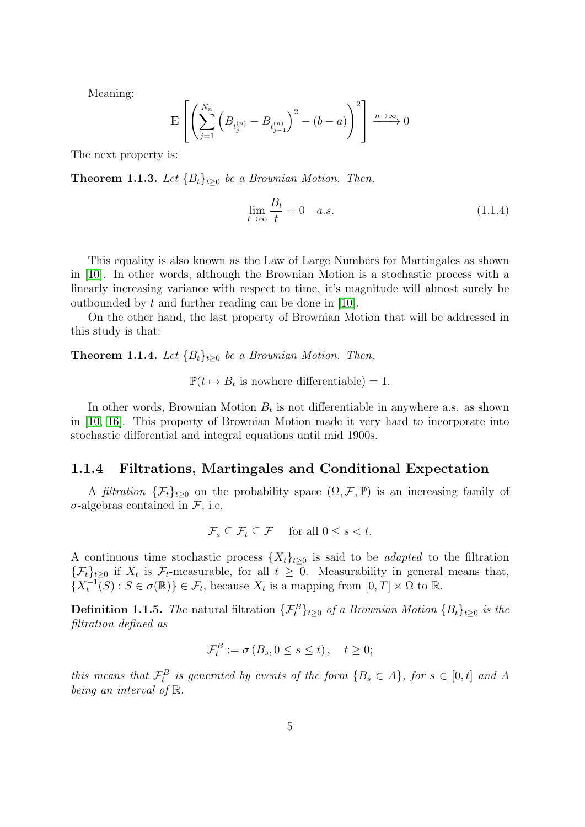Meaning:

$$
\mathbb{E}\left[\left(\sum_{j=1}^{N_n}\left(B_{t_j^{(n)}}-B_{t_{j-1}^{(n)}}\right)^2-(b-a)\right)^2\right]\xrightarrow{n\to\infty}0
$$

The next property is:

**Theorem 1.1.3.** Let  ${B_t}_{t\geq0}$  be a Brownian Motion. Then,

<span id="page-6-1"></span>
$$
\lim_{t \to \infty} \frac{B_t}{t} = 0 \quad a.s. \tag{1.1.4}
$$

This equality is also known as the Law of Large Numbers for Martingales as shown in [\[10\]](#page-37-2). In other words, although the Brownian Motion is a stochastic process with a linearly increasing variance with respect to time, it's magnitude will almost surely be outbounded by t and further reading can be done in [\[10\]](#page-37-2).

On the other hand, the last property of Brownian Motion that will be addressed in this study is that:

**Theorem 1.1.4.** Let  ${B_t}_{t\geq0}$  be a Brownian Motion. Then,

 $\mathbb{P}(t \mapsto B_t$  is nowhere differentiable) = 1.

In other words, Brownian Motion  $B_t$  is not differentiable in anywhere a.s. as shown in [\[10,](#page-37-2) [16\]](#page-38-2). This property of Brownian Motion made it very hard to incorporate into stochastic differential and integral equations until mid 1900s.

### <span id="page-6-0"></span>1.1.4 Filtrations, Martingales and Conditional Expectation

A filtration  $\{\mathcal{F}_t\}_{t\geq0}$  on the probability space  $(\Omega,\mathcal{F},\mathbb{P})$  is an increasing family of  $\sigma$ -algebras contained in  $\mathcal{F}$ , i.e.

$$
\mathcal{F}_s \subseteq \mathcal{F}_t \subseteq \mathcal{F} \quad \text{ for all } 0 \le s < t.
$$

A continuous time stochastic process  $\{X_t\}_{t>0}$  is said to be *adapted* to the filtration  $\{\mathcal{F}_t\}_{t\geq0}$  if  $X_t$  is  $\mathcal{F}_t$ -measurable, for all  $t\geq0$ . Measurability in general means that,  $\{X_t^{-1}(S) : S \in \sigma(\mathbb{R})\} \in \mathcal{F}_t$ , because  $X_t$  is a mapping from  $[0, T] \times \Omega$  to  $\mathbb{R}$ .

**Definition 1.1.5.** The natural filtration  $\{\mathcal{F}_t^B\}_{t\geq 0}$  of a Brownian Motion  $\{B_t\}_{t\geq 0}$  is the filtration defined as

$$
\mathcal{F}_t^B := \sigma\left(B_s, 0 \le s \le t\right), \quad t \ge 0;
$$

this means that  $\mathcal{F}^B_t$  is generated by events of the form  $\{B_s \in A\}$ , for  $s \in [0, t]$  and A being an interval of R.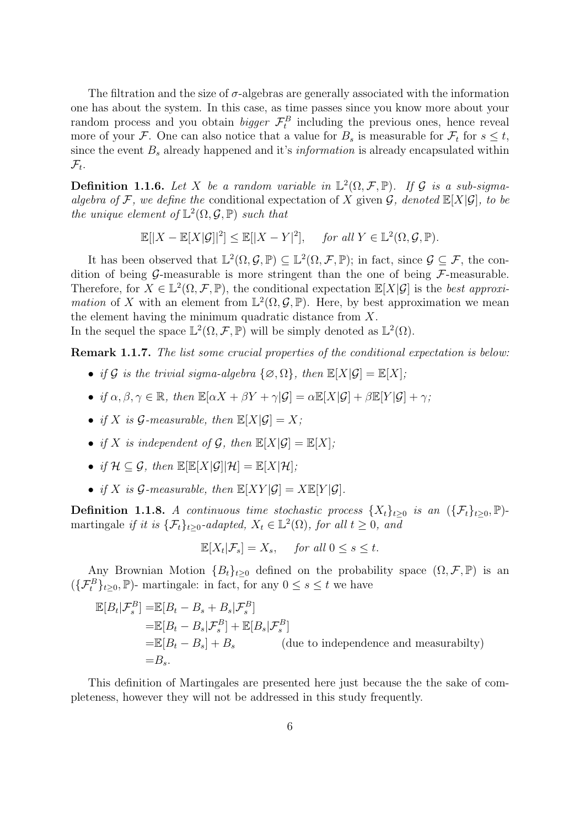The filtration and the size of  $\sigma$ -algebras are generally associated with the information one has about the system. In this case, as time passes since you know more about your random process and you obtain *bigger*  $\mathcal{F}^B_t$  including the previous ones, hence reveal more of your F. One can also notice that a value for  $B_s$  is measurable for  $\mathcal{F}_t$  for  $s \leq t$ , since the event  $B_s$  already happened and it's *information* is already encapsulated within  $\mathcal{F}_t.$ 

**Definition 1.1.6.** Let X be a random variable in  $\mathbb{L}^2(\Omega, \mathcal{F}, \mathbb{P})$ . If G is a sub-sigmaalgebra of F, we define the conditional expectation of X given  $\mathcal{G}$ , denoted  $\mathbb{E}[X|\mathcal{G}]$ , to be the unique element of  $\mathbb{L}^2(\Omega, \mathcal{G}, \mathbb{P})$  such that

$$
\mathbb{E}[|X - \mathbb{E}[X|\mathcal{G}]|^2] \le \mathbb{E}[|X - Y|^2], \quad \text{for all } Y \in \mathbb{L}^2(\Omega, \mathcal{G}, \mathbb{P}).
$$

It has been observed that  $\mathbb{L}^2(\Omega, \mathcal{G}, \mathbb{P}) \subseteq \mathbb{L}^2(\Omega, \mathcal{F}, \mathbb{P})$ ; in fact, since  $\mathcal{G} \subseteq \mathcal{F}$ , the condition of being  $\mathcal{G}$ -measurable is more stringent than the one of being  $\mathcal{F}$ -measurable. Therefore, for  $X \in \mathbb{L}^2(\Omega, \mathcal{F}, \mathbb{P})$ , the conditional expectation  $\mathbb{E}[X|\mathcal{G}]$  is the best approxi*mation* of X with an element from  $\mathbb{L}^2(\Omega, \mathcal{G}, \mathbb{P})$ . Here, by best approximation we mean the element having the minimum quadratic distance from X.

In the sequel the space  $\mathbb{L}^2(\Omega, \mathcal{F}, \mathbb{P})$  will be simply denoted as  $\mathbb{L}^2(\Omega)$ .

Remark 1.1.7. The list some crucial properties of the conditional expectation is below:

- if G is the trivial sigma-algebra  $\{\emptyset, \Omega\}$ , then  $\mathbb{E}[X|\mathcal{G}] = \mathbb{E}[X]$ ;
- if  $\alpha, \beta, \gamma \in \mathbb{R}$ , then  $\mathbb{E}[\alpha X + \beta Y + \gamma | \mathcal{G}] = \alpha \mathbb{E}[X | \mathcal{G}] + \beta \mathbb{E}[Y | \mathcal{G}] + \gamma$ ;
- if X is  $\mathcal{G}\text{-}measurable$ , then  $\mathbb{E}[X|\mathcal{G}] = X$ ;
- if X is independent of G, then  $\mathbb{E}[X|\mathcal{G}] = \mathbb{E}[X];$
- if  $\mathcal{H} \subset \mathcal{G}$ , then  $\mathbb{E}[\mathbb{E}[X|\mathcal{G}]|\mathcal{H}] = \mathbb{E}[X|\mathcal{H}]$ ;
- if X is  $\mathcal{G}\text{-}measurable$ , then  $\mathbb{E}[XY|\mathcal{G}] = X\mathbb{E}[Y|\mathcal{G}]$ .

Definition 1.1.8. A continuous time stochastic process  $\{X_t\}_{t\geq0}$  is an  $(\{\mathcal{F}_t\}_{t\geq0}, \mathbb{P})$ martingale if it is  $\{\mathcal{F}_t\}_{t\geq 0}$ -adapted,  $X_t \in \mathbb{L}^2(\Omega)$ , for all  $t \geq 0$ , and

$$
\mathbb{E}[X_t|\mathcal{F}_s] = X_s, \quad \text{for all } 0 \le s \le t.
$$

Any Brownian Motion  ${B_t}_{t\geq 0}$  defined on the probability space  $(\Omega, \mathcal{F}, \mathbb{P})$  is an  $({\{\mathcal{F}_{t}^{B}\}}_{t\geq0},\mathbb{P})$ - martingale: in fact, for any  $0\leq s\leq t$  we have

$$
\mathbb{E}[B_t|\mathcal{F}_s^B] = \mathbb{E}[B_t - B_s + B_s|\mathcal{F}_s^B]
$$
  
\n
$$
= \mathbb{E}[B_t - B_s|\mathcal{F}_s^B] + \mathbb{E}[B_s|\mathcal{F}_s^B]
$$
  
\n
$$
= \mathbb{E}[B_t - B_s] + B_s
$$
 (due to independence and measurability)  
\n
$$
= B_s.
$$

This definition of Martingales are presented here just because the the sake of completeness, however they will not be addressed in this study frequently.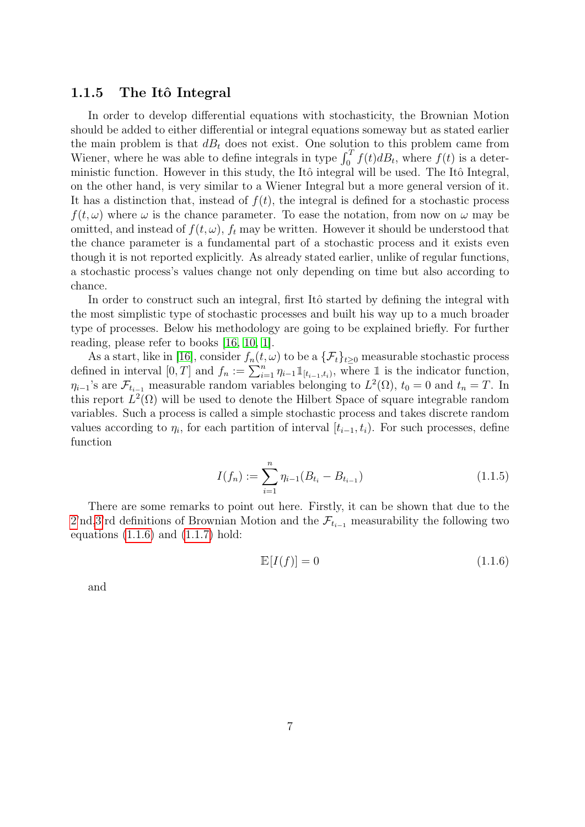### <span id="page-8-0"></span>1.1.5 The Itô Integral

In order to develop differential equations with stochasticity, the Brownian Motion should be added to either differential or integral equations someway but as stated earlier the main problem is that  $dB_t$  does not exist. One solution to this problem came from Wiener, where he was able to define integrals in type  $\int_0^T f(t) dB_t$ , where  $f(t)$  is a deterministic function. However in this study, the Itô integral will be used. The Itô Integral, on the other hand, is very similar to a Wiener Integral but a more general version of it. It has a distinction that, instead of  $f(t)$ , the integral is defined for a stochastic process  $f(t, \omega)$  where  $\omega$  is the chance parameter. To ease the notation, from now on  $\omega$  may be omitted, and instead of  $f(t, \omega)$ ,  $f_t$  may be written. However it should be understood that the chance parameter is a fundamental part of a stochastic process and it exists even though it is not reported explicitly. As already stated earlier, unlike of regular functions, a stochastic process's values change not only depending on time but also according to chance.

In order to construct such an integral, first Itô started by defining the integral with the most simplistic type of stochastic processes and built his way up to a much broader type of processes. Below his methodology are going to be explained briefly. For further reading, please refer to books [\[16,](#page-38-2) [10,](#page-37-2) [1\]](#page-37-3).

As a start, like in [\[16\]](#page-38-2), consider  $f_n(t, \omega)$  to be a  $\{\mathcal{F}_t\}_{t\geq 0}$  measurable stochastic process defined in interval  $[0,T]$  and  $f_n := \sum_{i=1}^n \eta_{i-1} 1\!\!1_{[t_{i-1},t_i)}$ , where 1 is the indicator function,  $\eta_{i-1}$ 's are  $\mathcal{F}_{t_{i-1}}$  measurable random variables belonging to  $L^2(\Omega)$ ,  $t_0 = 0$  and  $t_n = T$ . In this report  $L^2(\Omega)$  will be used to denote the Hilbert Space of square integrable random variables. Such a process is called a simple stochastic process and takes discrete random values according to  $\eta_i$ , for each partition of interval  $[t_{i-1}, t_i)$ . For such processes, define function

$$
I(f_n) := \sum_{i=1}^{n} \eta_{i-1}(B_{t_i} - B_{t_{i-1}})
$$
\n(1.1.5)

There are some remarks to point out here. Firstly, it can be shown that due to the [2'](#page-5-2)nd[,3'](#page-5-1)rd definitions of Brownian Motion and the  $\mathcal{F}_{t_{i-1}}$  measurability the following two equations  $(1.1.6)$  and  $(1.1.7)$  hold:

<span id="page-8-1"></span>
$$
\mathbb{E}[I(f)] = 0 \tag{1.1.6}
$$

and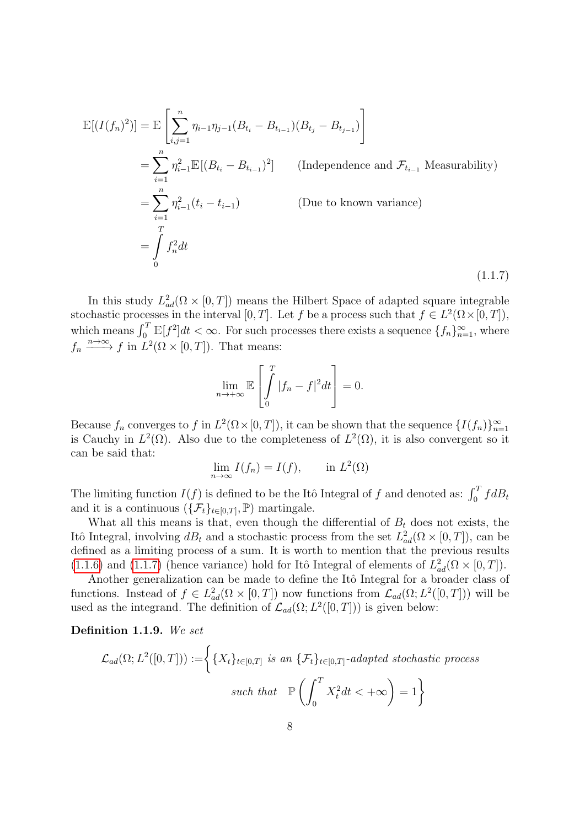$$
\mathbb{E}[(I(f_n)^2)] = \mathbb{E}\left[\sum_{i,j=1}^n \eta_{i-1}\eta_{j-1}(B_{t_i} - B_{t_{i-1}})(B_{t_j} - B_{t_{j-1}})\right]
$$
\n
$$
= \sum_{i=1}^n \eta_{i-1}^2 \mathbb{E}[(B_{t_i} - B_{t_{i-1}})^2] \qquad \text{(Independence and } \mathcal{F}_{t_{i-1}} \text{ Measurable)}
$$
\n
$$
= \sum_{i=1}^n \eta_{i-1}^2(t_i - t_{i-1}) \qquad \text{(Due to known variance)}
$$
\n
$$
= \int_{0}^{T} f_n^2 dt \qquad (1.1.7)
$$

In this study  $L^2_{ad}(\Omega \times [0,T])$  means the Hilbert Space of adapted square integrable stochastic processes in the interval  $[0, T]$ . Let f be a process such that  $f \in L^2(\Omega \times [0, T])$ , which means  $\int_0^T \mathbb{E}[f^2]dt < \infty$ . For such processes there exists a sequence  $\{f_n\}_{n=1}^{\infty}$ , where  $f_n \xrightarrow{n \to \infty} f$  in  $L^2(\Omega \times [0,T])$ . That means:

<span id="page-9-0"></span>
$$
\lim_{n \to +\infty} \mathbb{E}\left[\int_{0}^{T} |f_n - f|^2 dt\right] = 0.
$$

Because  $f_n$  converges to f in  $L^2(\Omega \times [0,T])$ , it can be shown that the sequence  $\{I(f_n)\}_{n=1}^{\infty}$ is Cauchy in  $L^2(\Omega)$ . Also due to the completeness of  $L^2(\Omega)$ , it is also convergent so it can be said that:

$$
\lim_{n \to \infty} I(f_n) = I(f), \quad \text{in } L^2(\Omega)
$$

The limiting function  $I(f)$  is defined to be the Itô Integral of f and denoted as:  $\int_0^T f dB_t$ and it is a continuous  $(\{\mathcal{F}_t\}_{t\in[0,T]}, \mathbb{P})$  martingale.

What all this means is that, even though the differential of  $B_t$  does not exists, the Itô Integral, involving  $dB_t$  and a stochastic process from the set  $L^2_{ad}(\Omega \times [0, T])$ , can be defined as a limiting process of a sum. It is worth to mention that the previous results [\(1.1.6\)](#page-8-1) and [\(1.1.7\)](#page-9-0) (hence variance) hold for Itô Integral of elements of  $L<sup>2</sup><sub>ad</sub>(\Omega \times [0, T])$ .

Another generalization can be made to define the Itô Integral for a broader class of functions. Instead of  $f \in L^2_{ad}(\Omega \times [0,T])$  now functions from  $\mathcal{L}_{ad}(\Omega; L^2([0,T]))$  will be used as the integrand. The definition of  $\mathcal{L}_{ad}(\Omega; L^2([0,T]))$  is given below:

Definition 1.1.9. We set

$$
\mathcal{L}_{ad}(\Omega; L^2([0, T])) := \left\{ \{ X_t \}_{t \in [0, T]} \text{ is an } \{ \mathcal{F}_t \}_{t \in [0, T]} \text{-adapted stochastic process} \right\}
$$
  
such that  $\mathbb{P}\left( \int_0^T X_t^2 dt < +\infty \right) = 1 \right\}$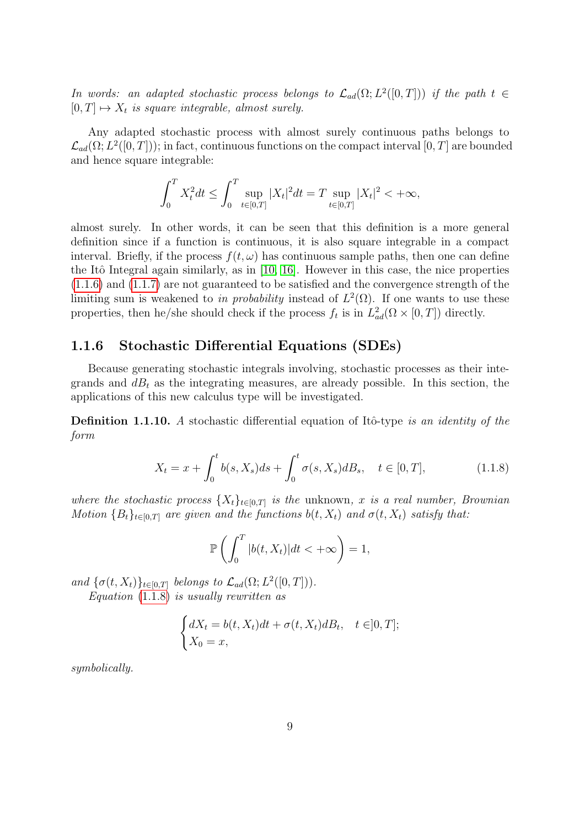In words: an adapted stochastic process belongs to  $\mathcal{L}_{ad}(\Omega; L^2([0,T]))$  if the path  $t \in$  $[0, T] \mapsto X_t$  is square integrable, almost surely.

Any adapted stochastic process with almost surely continuous paths belongs to  $\mathcal{L}_{ad}(\Omega; L^2([0,T]))$ ; in fact, continuous functions on the compact interval  $[0,T]$  are bounded and hence square integrable:

$$
\int_0^T X_t^2 dt \le \int_0^T \sup_{t \in [0,T]} |X_t|^2 dt = T \sup_{t \in [0,T]} |X_t|^2 < +\infty,
$$

almost surely. In other words, it can be seen that this definition is a more general definition since if a function is continuous, it is also square integrable in a compact interval. Briefly, if the process  $f(t, \omega)$  has continuous sample paths, then one can define the Itô Integral again similarly, as in  $[10, 16]$  $[10, 16]$ . However in this case, the nice properties [\(1.1.6\)](#page-8-1) and [\(1.1.7\)](#page-9-0) are not guaranteed to be satisfied and the convergence strength of the limiting sum is weakened to in probability instead of  $L^2(\Omega)$ . If one wants to use these properties, then he/she should check if the process  $f_t$  is in  $L^2_{ad}(\Omega \times [0,T])$  directly.

### <span id="page-10-0"></span>1.1.6 Stochastic Differential Equations (SDEs)

Because generating stochastic integrals involving, stochastic processes as their integrands and  $dB_t$  as the integrating measures, are already possible. In this section, the applications of this new calculus type will be investigated.

<span id="page-10-2"></span>**Definition 1.1.10.** A stochastic differential equation of Itô-type is an identity of the form

$$
X_t = x + \int_0^t b(s, X_s)ds + \int_0^t \sigma(s, X_s)dB_s, \quad t \in [0, T], \tag{1.1.8}
$$

where the stochastic process  $\{X_t\}_{t\in[0,T]}$  is the unknown, x is a real number, Brownian Motion  ${B_t}_{t \in [0,T]}$  are given and the functions  $b(t, X_t)$  and  $\sigma(t, X_t)$  satisfy that:

<span id="page-10-1"></span>
$$
\mathbb{P}\left(\int_0^T |b(t, X_t)|dt < +\infty\right) = 1,
$$

and  $\{\sigma(t, X_t)\}_{t \in [0,T]}$  belongs to  $\mathcal{L}_{ad}(\Omega; L^2([0,T])).$ 

Equation  $(1.1.8)$  is usually rewritten as

$$
\begin{cases} dX_t = b(t, X_t)dt + \sigma(t, X_t)dB_t, & t \in ]0, T];\\ X_0 = x, \end{cases}
$$

symbolically.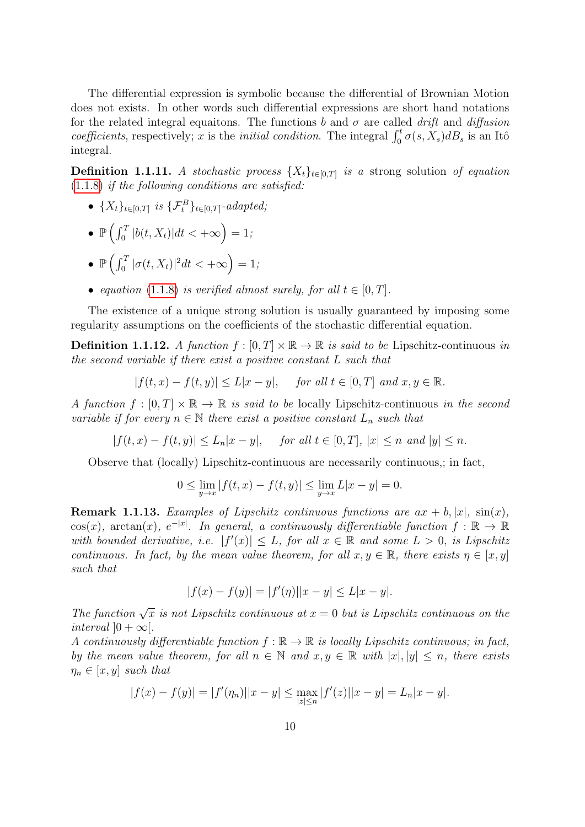The differential expression is symbolic because the differential of Brownian Motion does not exists. In other words such differential expressions are short hand notations for the related integral equaitons. The functions b and  $\sigma$  are called drift and diffusion coefficients, respectively; x is the *initial condition*. The integral  $\int_0^t \sigma(s, X_s) dB_s$  is an Itô integral.

**Definition 1.1.11.** A stochastic process  $\{X_t\}_{t\in[0,T]}$  is a strong solution of equation  $(1.1.8)$  if the following conditions are satisfied:

•  $\{X_t\}_{t \in [0,T]}$  is  $\{\mathcal{F}^B_t\}_{t \in [0,T]}$ -adapted;

$$
\bullet \ \mathbb{P}\left(\int_0^T |b(t, X_t)|dt < +\infty\right) = 1;
$$

- $\mathbb{P}\left(\int_0^T |\sigma(t,X_t)|^2 dt < +\infty\right) = 1;$
- equation [\(1.1.8\)](#page-10-1) is verified almost surely, for all  $t \in [0, T]$ .

The existence of a unique strong solution is usually guaranteed by imposing some regularity assumptions on the coefficients of the stochastic differential equation.

**Definition 1.1.12.** A function  $f : [0, T] \times \mathbb{R} \to \mathbb{R}$  is said to be Lipschitz-continuous in the second variable if there exist a positive constant L such that

$$
|f(t,x) - f(t,y)| \le L|x - y|, \quad \text{for all } t \in [0,T] \text{ and } x, y \in \mathbb{R}.
$$

A function  $f : [0, T] \times \mathbb{R} \to \mathbb{R}$  is said to be locally Lipschitz-continuous in the second variable if for every  $n \in \mathbb{N}$  there exist a positive constant  $L_n$  such that

 $|f(t, x) - f(t, y)| \le L_n |x - y|$ , for all  $t \in [0, T]$ ,  $|x| \le n$  and  $|y| \le n$ .

Observe that (locally) Lipschitz-continuous are necessarily continuous,; in fact,

$$
0 \le \lim_{y \to x} |f(t, x) - f(t, y)| \le \lim_{y \to x} L|x - y| = 0.
$$

<span id="page-11-0"></span>**Remark 1.1.13.** Examples of Lipschitz continuous functions are  $ax + b, |x|$ ,  $\sin(x)$ ,  $\cos(x)$ ,  $\arctan(x)$ ,  $e^{-|x|}$ . In general, a continuously differentiable function  $f : \mathbb{R} \to \mathbb{R}$ with bounded derivative, i.e.  $|f'(x)| \leq L$ , for all  $x \in \mathbb{R}$  and some  $L > 0$ , is Lipschitz continuous. In fact, by the mean value theorem, for all  $x, y \in \mathbb{R}$ , there exists  $\eta \in [x, y]$ such that

$$
|f(x) - f(y)| = |f'(\eta)||x - y| \le L|x - y|.
$$

The function  $\sqrt{x}$  is not Lipschitz continuous at  $x = 0$  but is Lipschitz continuous on the interval  $]0 + \infty[$ .

A continuously differentiable function  $f : \mathbb{R} \to \mathbb{R}$  is locally Lipschitz continuous; in fact, by the mean value theorem, for all  $n \in \mathbb{N}$  and  $x, y \in \mathbb{R}$  with  $|x|, |y| \leq n$ , there exists  $\eta_n \in [x, y]$  such that

$$
|f(x) - f(y)| = |f'(\eta_n)||x - y| \le \max_{|z| \le n} |f'(z)||x - y| = L_n|x - y|.
$$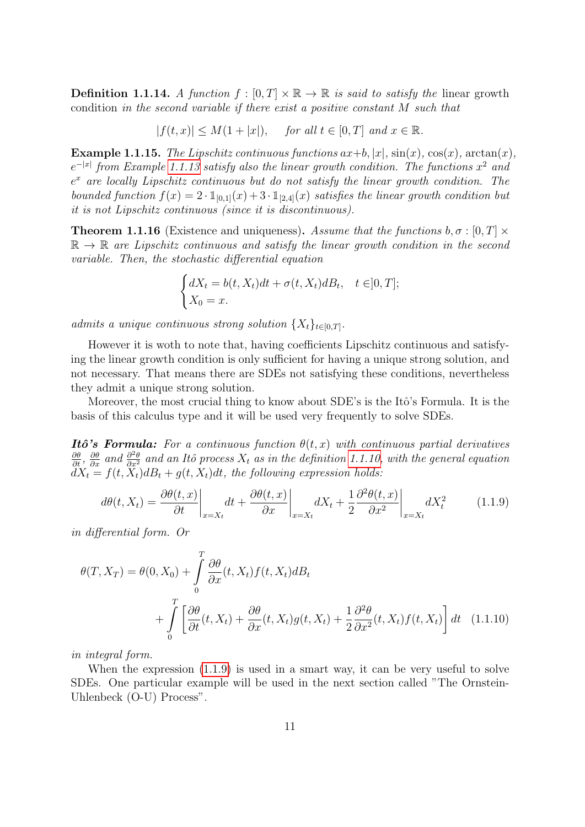**Definition 1.1.14.** A function  $f : [0, T] \times \mathbb{R} \to \mathbb{R}$  is said to satisfy the linear growth condition in the second variable if there exist a positive constant M such that

 $|f(t, x)| \le M(1 + |x|),$  for all  $t \in [0, T]$  and  $x \in \mathbb{R}$ .

**Example 1.1.15.** The Lipschitz continuous functions  $ax+b$ ,  $|x|$ ,  $sin(x)$ ,  $cos(x)$ ,  $arctan(x)$ ,  $e^{-|x|}$  from Example [1.1.13](#page-11-0) satisfy also the linear growth condition. The functions  $x^2$  and  $e^x$  are locally Lipschitz continuous but do not satisfy the linear growth condition. The bounded function  $f(x) = 2 \cdot \mathbb{1}_{[0,1]}(x) + 3 \cdot \mathbb{1}_{[2,4]}(x)$  satisfies the linear growth condition but it is not Lipschitz continuous (since it is discontinuous).

<span id="page-12-1"></span>**Theorem 1.1.16** (Existence and uniqueness). Assume that the functions  $b, \sigma : [0, T] \times$  $\mathbb{R} \to \mathbb{R}$  are Lipschitz continuous and satisfy the linear growth condition in the second variable. Then, the stochastic differential equation

$$
\begin{cases} dX_t = b(t, X_t)dt + \sigma(t, X_t)dB_t, & t \in ]0, T];\\ X_0 = x. \end{cases}
$$

admits a unique continuous strong solution  $\{X_t\}_{t\in[0,T]}.$ 

However it is woth to note that, having coefficients Lipschitz continuous and satisfying the linear growth condition is only sufficient for having a unique strong solution, and not necessary. That means there are SDEs not satisfying these conditions, nevertheless they admit a unique strong solution.

Moreover, the most crucial thing to know about SDE's is the Itô's Formula. It is the basis of this calculus type and it will be used very frequently to solve SDEs.

**Itô's Formula:** For a continuous function  $\theta(t, x)$  with continuous partial derivatives  $\frac{\partial \theta}{\partial t}$ ,  $\frac{\partial \theta}{\partial x}$  and  $\frac{\partial^2 \theta}{\partial x^2}$  and an Itô process  $X_t$  as in the definition [1.1.10,](#page-10-2) with the general equation  $dX_t = f(t, \tilde{X}_t)dB_t + g(t, X_t)dt$ , the following expression holds:

<span id="page-12-0"></span>
$$
d\theta(t, X_t) = \frac{\partial \theta(t, x)}{\partial t}\bigg|_{x = X_t} dt + \frac{\partial \theta(t, x)}{\partial x}\bigg|_{x = X_t} dX_t + \frac{1}{2} \frac{\partial^2 \theta(t, x)}{\partial x^2}\bigg|_{x = X_t} dX_t^2 \tag{1.1.9}
$$

in differential form. Or

$$
\theta(T, X_T) = \theta(0, X_0) + \int_0^T \frac{\partial \theta}{\partial x}(t, X_t) f(t, X_t) dB_t
$$
  
+ 
$$
\int_0^T \left[ \frac{\partial \theta}{\partial t}(t, X_t) + \frac{\partial \theta}{\partial x}(t, X_t) g(t, X_t) + \frac{1}{2} \frac{\partial^2 \theta}{\partial x^2}(t, X_t) f(t, X_t) \right] dt \quad (1.1.10)
$$

in integral form.

When the expression  $(1.1.9)$  is used in a smart way, it can be very useful to solve SDEs. One particular example will be used in the next section called "The Ornstein-Uhlenbeck (O-U) Process".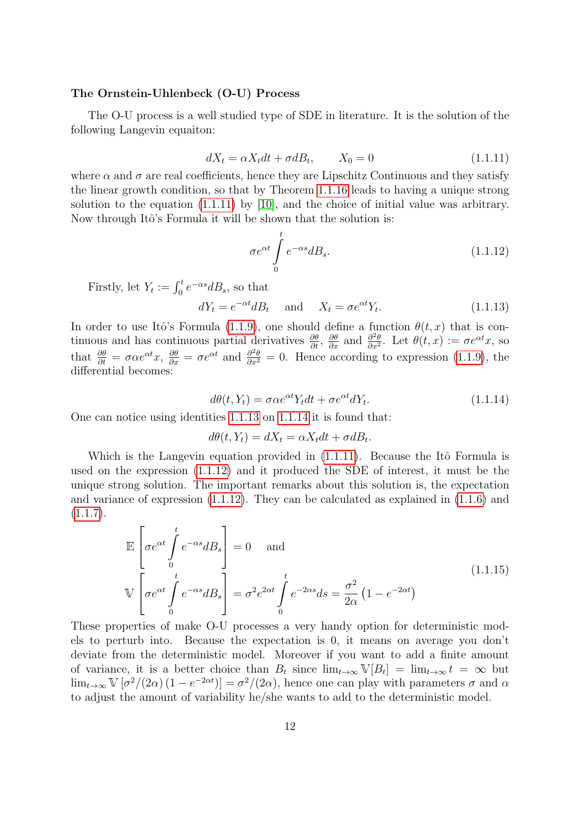#### The Ornstein-Uhlenbeck (O-U) Process

The O-U process is a well studied type of SDE in literature. It is the solution of the following Langevin equaiton:

<span id="page-13-0"></span>
$$
dX_t = \alpha X_t dt + \sigma dB_t, \qquad X_0 = 0 \tag{1.1.11}
$$

where  $\alpha$  and  $\sigma$  are real coefficients, hence they are Lipschitz Continuous and they satisfy the linear growth condition, so that by Theorem [1.1.16](#page-12-1) leads to having a unique strong solution to the equation [\(1.1.11\)](#page-13-0) by [\[10\]](#page-37-2), and the choice of initial value was arbitrary. Now through Itô's Formula it will be shown that the solution is:

<span id="page-13-3"></span>
$$
\sigma e^{\alpha t} \int_{0}^{t} e^{-\alpha s} dB_s.
$$
 (1.1.12)

Firstly, let  $Y_t := \int_0^t e^{-\alpha s} dB_s$ , so that

<span id="page-13-1"></span>
$$
dY_t = e^{-\alpha t} dB_t \quad \text{and} \quad X_t = \sigma e^{\alpha t} Y_t. \tag{1.1.13}
$$

In order to use Itô's Formula [\(1.1.9\)](#page-12-0), one should define a function  $\theta(t, x)$  that is continuous and has continuous partial derivatives  $\frac{\partial \theta}{\partial t}$ ,  $\frac{\partial \theta}{\partial x}$  and  $\frac{\partial^2 \theta}{\partial x^2}$  $\frac{\partial^2 \theta}{\partial x^2}$ . Let  $\theta(t, x) := \sigma e^{\alpha t} x$ , so that  $\frac{\partial \theta}{\partial t} = \sigma \alpha e^{\alpha t} x$ ,  $\frac{\partial \theta}{\partial x} = \sigma e^{\alpha t}$  and  $\frac{\partial^2 \theta}{\partial x^2} = 0$ . Hence according to expression [\(1.1.9\)](#page-12-0), the differential becomes:

<span id="page-13-2"></span>
$$
d\theta(t, Y_t) = \sigma \alpha e^{\alpha t} Y_t dt + \sigma e^{\alpha t} dY_t.
$$
\n(1.1.14)

One can notice using identities [1.1.13](#page-13-1) on [1.1.14](#page-13-2) it is found that:

$$
d\theta(t, Y_t) = dX_t = \alpha X_t dt + \sigma dB_t.
$$

Which is the Langevin equation provided in  $(1.1.11)$ . Because the Itô Formula is used on the expression [\(1.1.12\)](#page-13-3) and it produced the SDE of interest, it must be the unique strong solution. The important remarks about this solution is, the expectation and variance of expression [\(1.1.12\)](#page-13-3). They can be calculated as explained in [\(1.1.6\)](#page-8-1) and  $(1.1.7).$  $(1.1.7).$ 

$$
\mathbb{E}\left[\sigma e^{\alpha t} \int_{0}^{t} e^{-\alpha s} dB_s\right] = 0 \text{ and}
$$
\n
$$
\mathbb{V}\left[\sigma e^{\alpha t} \int_{0}^{t} e^{-\alpha s} dB_s\right] = \sigma^2 e^{2\alpha t} \int_{0}^{t} e^{-2\alpha s} ds = \frac{\sigma^2}{2\alpha} \left(1 - e^{-2\alpha t}\right)
$$
\n(1.1.15)

These properties of make O-U processes a very handy option for deterministic models to perturb into. Because the expectation is 0, it means on average you don't deviate from the deterministic model. Moreover if you want to add a finite amount of variance, it is a better choice than  $B_t$  since  $\lim_{t\to\infty} V[B_t] = \lim_{t\to\infty} t = \infty$  but  $\lim_{t\to\infty} \mathbb{V}\left[\sigma^2/(2\alpha)\left(1-e^{-2\alpha t}\right)\right] = \sigma^2/(2\alpha)$ , hence one can play with parameters  $\sigma$  and  $\alpha$ to adjust the amount of variability he/she wants to add to the deterministic model.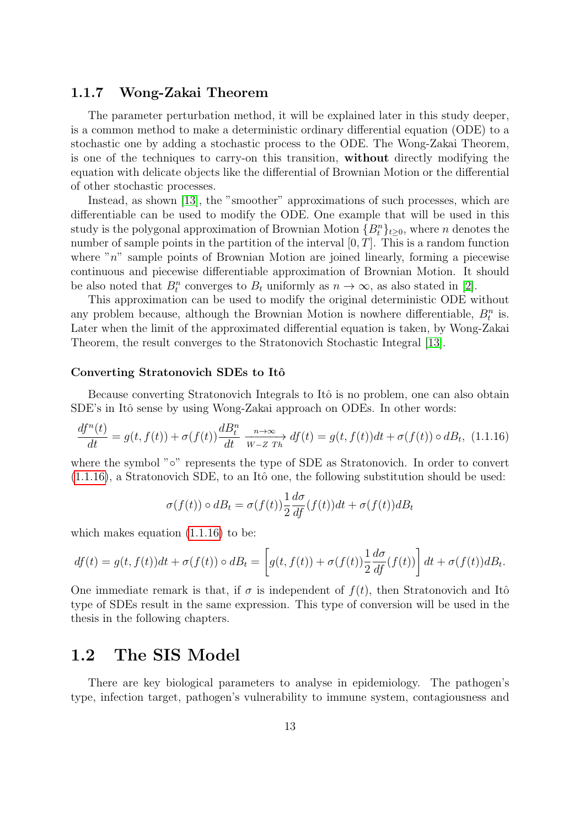### <span id="page-14-0"></span>1.1.7 Wong-Zakai Theorem

The parameter perturbation method, it will be explained later in this study deeper, is a common method to make a deterministic ordinary differential equation (ODE) to a stochastic one by adding a stochastic process to the ODE. The Wong-Zakai Theorem, is one of the techniques to carry-on this transition, without directly modifying the equation with delicate objects like the differential of Brownian Motion or the differential of other stochastic processes.

Instead, as shown [\[13\]](#page-38-3), the "smoother" approximations of such processes, which are differentiable can be used to modify the ODE. One example that will be used in this study is the polygonal approximation of Brownian Motion  ${B_t^n}_{t\geq 0}$ , where n denotes the number of sample points in the partition of the interval  $[0, T]$ . This is a random function where " $n$ " sample points of Brownian Motion are joined linearly, forming a piecewise continuous and piecewise differentiable approximation of Brownian Motion. It should be also noted that  $B_t^n$  converges to  $B_t$  uniformly as  $n \to \infty$ , as also stated in [\[2\]](#page-37-1).

This approximation can be used to modify the original deterministic ODE without any problem because, although the Brownian Motion is nowhere differentiable,  $B_t^n$  is. Later when the limit of the approximated differential equation is taken, by Wong-Zakai Theorem, the result converges to the Stratonovich Stochastic Integral [\[13\]](#page-38-3).

#### Converting Stratonovich SDEs to Itô

Because converting Stratonovich Integrals to Itô is no problem, one can also obtain SDE's in Itô sense by using Wong-Zakai approach on ODEs. In other words:

<span id="page-14-2"></span>
$$
\frac{df^n(t)}{dt} = g(t, f(t)) + \sigma(f(t))\frac{dB^n_t}{dt} \xrightarrow[N \to \infty]{} df(t) = g(t, f(t))dt + \sigma(f(t)) \circ dB_t, \tag{1.1.16}
$$

where the symbol "∘" represents the type of SDE as Stratonovich. In order to convert  $(1.1.16)$ , a Stratonovich SDE, to an Itô one, the following substitution should be used:

$$
\sigma(f(t)) \circ dB_t = \sigma(f(t)) \frac{1}{2} \frac{d\sigma}{df}(f(t))dt + \sigma(f(t))dB_t
$$

which makes equation  $(1.1.16)$  to be:

$$
df(t) = g(t, f(t))dt + \sigma(f(t)) \circ dB_t = \left[ g(t, f(t)) + \sigma(f(t)) \frac{1}{2} \frac{d\sigma}{df}(f(t)) \right] dt + \sigma(f(t))dB_t.
$$

One immediate remark is that, if  $\sigma$  is independent of  $f(t)$ , then Stratonovich and Itô type of SDEs result in the same expression. This type of conversion will be used in the thesis in the following chapters.

# <span id="page-14-1"></span>1.2 The SIS Model

There are key biological parameters to analyse in epidemiology. The pathogen's type, infection target, pathogen's vulnerability to immune system, contagiousness and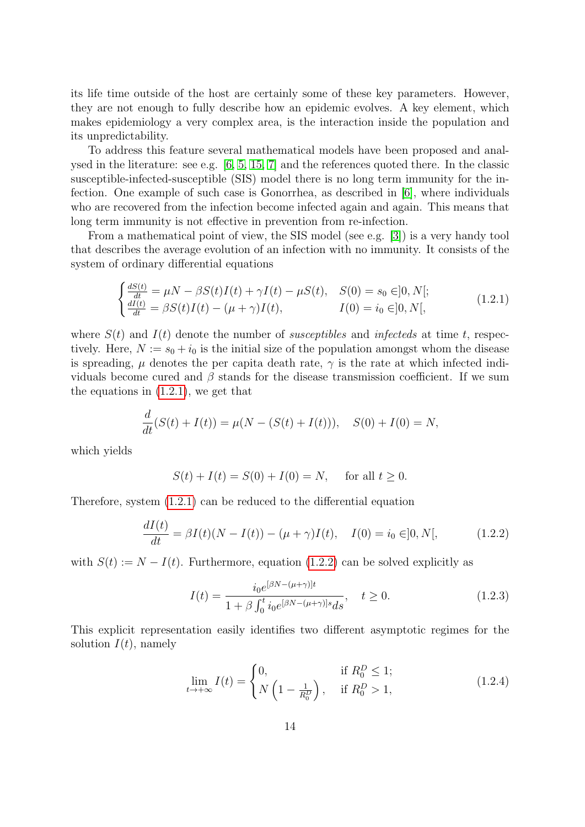its life time outside of the host are certainly some of these key parameters. However, they are not enough to fully describe how an epidemic evolves. A key element, which makes epidemiology a very complex area, is the interaction inside the population and its unpredictability.

To address this feature several mathematical models have been proposed and analysed in the literature: see e.g. [\[6,](#page-37-4) [5,](#page-37-0) [15,](#page-38-4) [7\]](#page-37-5) and the references quoted there. In the classic susceptible-infected-susceptible (SIS) model there is no long term immunity for the infection. One example of such case is Gonorrhea, as described in [\[6\]](#page-37-4), where individuals who are recovered from the infection become infected again and again. This means that long term immunity is not effective in prevention from re-infection.

From a mathematical point of view, the SIS model (see e.g. [\[3\]](#page-37-6)) is a very handy tool that describes the average evolution of an infection with no immunity. It consists of the system of ordinary differential equations

$$
\begin{cases}\n\frac{dS(t)}{dt} = \mu N - \beta S(t)I(t) + \gamma I(t) - \mu S(t), & S(0) = s_0 \in ]0, N]; \\
\frac{dI(t)}{dt} = \beta S(t)I(t) - (\mu + \gamma)I(t), & I(0) = i_0 \in ]0, N],\n\end{cases}
$$
\n(1.2.1)

where  $S(t)$  and  $I(t)$  denote the number of *susceptibles* and *infecteds* at time t, respectively. Here,  $N := s_0 + i_0$  is the initial size of the population amongst whom the disease is spreading,  $\mu$  denotes the per capita death rate,  $\gamma$  is the rate at which infected individuals become cured and  $\beta$  stands for the disease transmission coefficient. If we sum the equations in [\(1.2.1\)](#page-15-0), we get that

$$
\frac{d}{dt}(S(t) + I(t)) = \mu(N - (S(t) + I(t))), \quad S(0) + I(0) = N,
$$

which yields

<span id="page-15-0"></span>
$$
S(t) + I(t) = S(0) + I(0) = N, \text{ for all } t \ge 0.
$$

Therefore, system [\(1.2.1\)](#page-15-0) can be reduced to the differential equation

$$
\frac{dI(t)}{dt} = \beta I(t)(N - I(t)) - (\mu + \gamma)I(t), \quad I(0) = i_0 \in ]0, N[, \quad (1.2.2)
$$

with  $S(t) := N - I(t)$ . Furthermore, equation [\(1.2.2\)](#page-15-1) can be solved explicitly as

<span id="page-15-2"></span><span id="page-15-1"></span>
$$
I(t) = \frac{i_0 e^{[\beta N - (\mu + \gamma)]t}}{1 + \beta \int_0^t i_0 e^{[\beta N - (\mu + \gamma)]s} ds}, \quad t \ge 0.
$$
 (1.2.3)

This explicit representation easily identifies two different asymptotic regimes for the solution  $I(t)$ , namely

<span id="page-15-3"></span>
$$
\lim_{t \to +\infty} I(t) = \begin{cases} 0, & \text{if } R_0^D \le 1; \\ N\left(1 - \frac{1}{R_0^D}\right), & \text{if } R_0^D > 1, \end{cases}
$$
(1.2.4)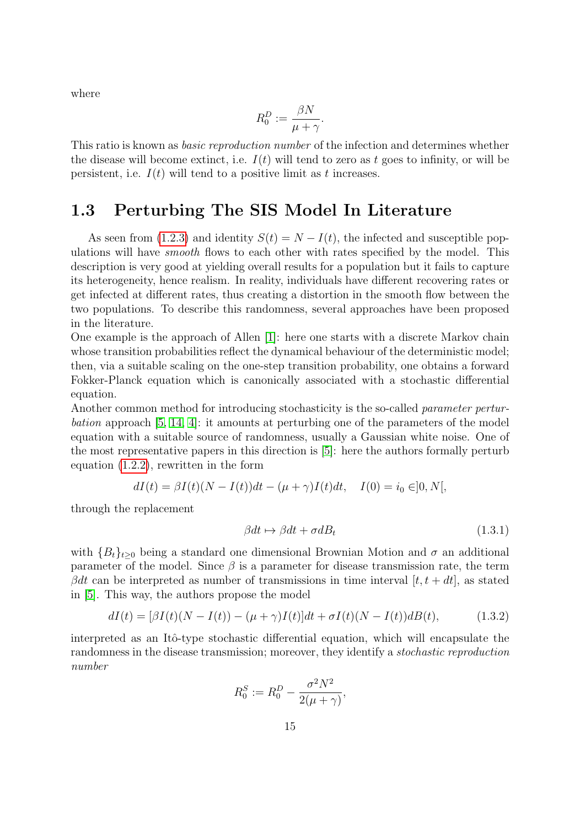where

$$
R_0^D := \frac{\beta N}{\mu + \gamma}.
$$

This ratio is known as basic reproduction number of the infection and determines whether the disease will become extinct, i.e.  $I(t)$  will tend to zero as t goes to infinity, or will be persistent, i.e.  $I(t)$  will tend to a positive limit as t increases.

# <span id="page-16-0"></span>1.3 Perturbing The SIS Model In Literature

As seen from [\(1.2.3\)](#page-15-2) and identity  $S(t) = N - I(t)$ , the infected and susceptible populations will have smooth flows to each other with rates specified by the model. This description is very good at yielding overall results for a population but it fails to capture its heterogeneity, hence realism. In reality, individuals have different recovering rates or get infected at different rates, thus creating a distortion in the smooth flow between the two populations. To describe this randomness, several approaches have been proposed in the literature.

One example is the approach of Allen [\[1\]](#page-37-3): here one starts with a discrete Markov chain whose transition probabilities reflect the dynamical behaviour of the deterministic model; then, via a suitable scaling on the one-step transition probability, one obtains a forward Fokker-Planck equation which is canonically associated with a stochastic differential equation.

Another common method for introducing stochasticity is the so-called parameter perturbation approach [\[5,](#page-37-0) [14,](#page-38-5) [4\]](#page-37-7): it amounts at perturbing one of the parameters of the model equation with a suitable source of randomness, usually a Gaussian white noise. One of the most representative papers in this direction is [\[5\]](#page-37-0): here the authors formally perturb equation [\(1.2.2\)](#page-15-1), rewritten in the form

$$
dI(t) = \beta I(t)(N - I(t))dt - (\mu + \gamma)I(t)dt, \quad I(0) = i_0 \in ]0, N[,
$$

through the replacement

<span id="page-16-1"></span>
$$
\beta dt \mapsto \beta dt + \sigma dB_t \tag{1.3.1}
$$

with  ${B_t}_{t>0}$  being a standard one dimensional Brownian Motion and  $\sigma$  an additional parameter of the model. Since  $\beta$  is a parameter for disease transmission rate, the term  $\beta dt$  can be interpreted as number of transmissions in time interval  $[t, t + dt]$ , as stated in [\[5\]](#page-37-0). This way, the authors propose the model

$$
dI(t) = [\beta I(t)(N - I(t)) - (\mu + \gamma)I(t)]dt + \sigma I(t)(N - I(t))dB(t), \qquad (1.3.2)
$$

interpreted as an Itô-type stochastic differential equation, which will encapsulate the randomness in the disease transmission; moreover, they identify a stochastic reproduction number

$$
R_0^S := R_0^D - \frac{\sigma^2 N^2}{2(\mu + \gamma)},
$$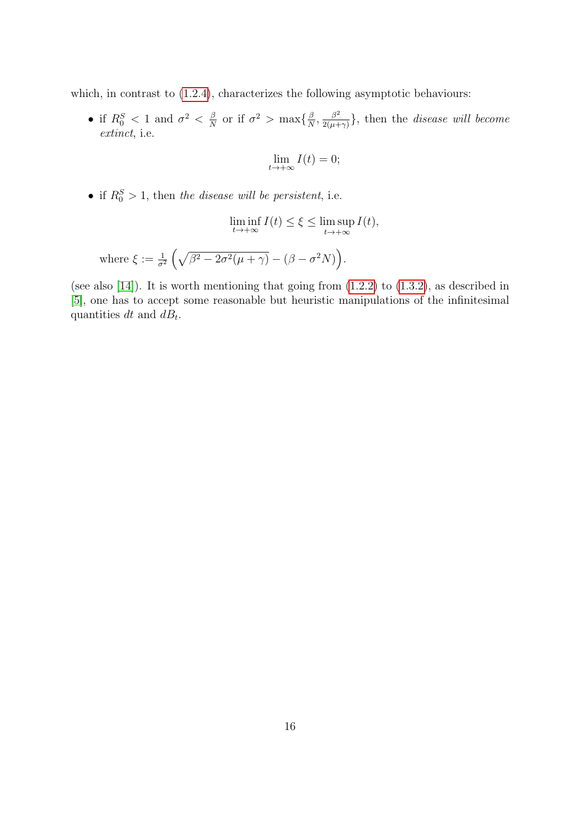which, in contrast to  $(1.2.4)$ , characterizes the following asymptotic behaviours:

• if  $R_0^S < 1$  and  $\sigma^2 < \frac{\beta}{N}$  $\frac{\beta}{N}$  or if  $\sigma^2 > \max\{\frac{\beta}{N}\}$  $\frac{\beta}{N}, \frac{\beta^2}{2(\mu +)}$  $\frac{\beta^2}{2(\mu+\gamma)}\},\$  then the *disease will become* extinct, i.e.

$$
\lim_{t \to +\infty} I(t) = 0;
$$

• if  $R_0^S > 1$ , then the disease will be persistent, i.e.

$$
\liminf_{t \to +\infty} I(t) \le \xi \le \limsup_{t \to +\infty} I(t),
$$

where 
$$
\xi := \frac{1}{\sigma^2} \left( \sqrt{\beta^2 - 2\sigma^2(\mu + \gamma)} - (\beta - \sigma^2 N) \right)
$$
.

(see also  $[14]$ ). It is worth mentioning that going from  $(1.2.2)$  to  $(1.3.2)$ , as described in [\[5\]](#page-37-0), one has to accept some reasonable but heuristic manipulations of the infinitesimal quantities dt and  $dB_t$ .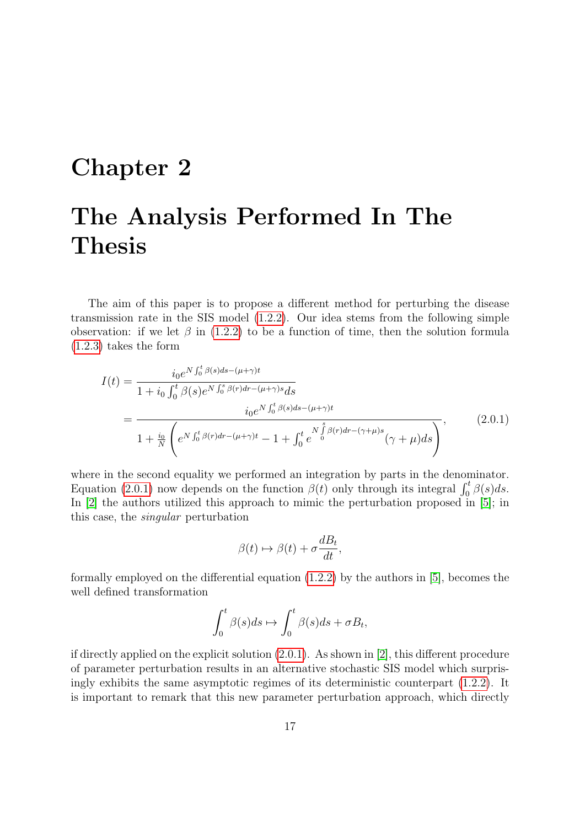# <span id="page-18-0"></span>Chapter 2

# The Analysis Performed In The Thesis

The aim of this paper is to propose a different method for perturbing the disease transmission rate in the SIS model [\(1.2.2\)](#page-15-1). Our idea stems from the following simple observation: if we let  $\beta$  in [\(1.2.2\)](#page-15-1) to be a function of time, then the solution formula [\(1.2.3\)](#page-15-2) takes the form

$$
I(t) = \frac{i_0 e^{N \int_0^t \beta(s) ds - (\mu + \gamma)t}}{1 + i_0 \int_0^t \beta(s) e^{N \int_0^s \beta(r) dr - (\mu + \gamma)s} ds}
$$
  
= 
$$
\frac{i_0 e^{N \int_0^t \beta(s) ds - (\mu + \gamma)t}}{1 + \frac{i_0}{N} \left( e^{N \int_0^t \beta(r) dr - (\mu + \gamma)t} - 1 + \int_0^t e^{N \int_0^s \beta(r) dr - (\gamma + \mu)s} (\gamma + \mu) ds \right)}
$$
, (2.0.1)

where in the second equality we performed an integration by parts in the denominator. Equation [\(2.0.1\)](#page-18-1) now depends on the function  $\beta(t)$  only through its integral  $\int_0^t \beta(s) ds$ . In [\[2\]](#page-37-1) the authors utilized this approach to mimic the perturbation proposed in [\[5\]](#page-37-0); in this case, the singular perturbation

<span id="page-18-1"></span>
$$
\beta(t) \mapsto \beta(t) + \sigma \frac{dB_t}{dt},
$$

formally employed on the differential equation [\(1.2.2\)](#page-15-1) by the authors in [\[5\]](#page-37-0), becomes the well defined transformation

$$
\int_0^t \beta(s)ds \mapsto \int_0^t \beta(s)ds + \sigma B_t,
$$

if directly applied on the explicit solution [\(2.0.1\)](#page-18-1). As shown in [\[2\]](#page-37-1), this different procedure of parameter perturbation results in an alternative stochastic SIS model which surprisingly exhibits the same asymptotic regimes of its deterministic counterpart [\(1.2.2\)](#page-15-1). It is important to remark that this new parameter perturbation approach, which directly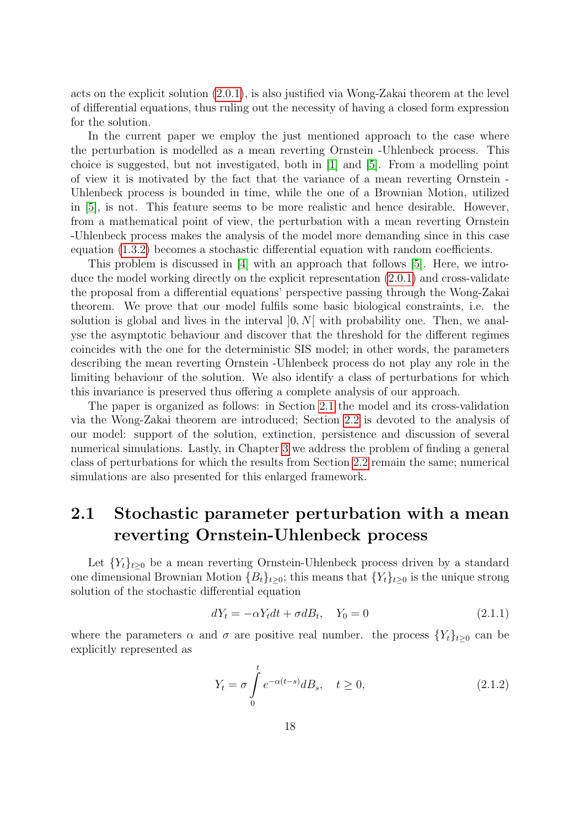acts on the explicit solution [\(2.0.1\)](#page-18-1), is also justified via Wong-Zakai theorem at the level of differential equations, thus ruling out the necessity of having a closed form expression for the solution.

In the current paper we employ the just mentioned approach to the case where the perturbation is modelled as a mean reverting Ornstein -Uhlenbeck process. This choice is suggested, but not investigated, both in [\[1\]](#page-37-3) and [\[5\]](#page-37-0). From a modelling point of view it is motivated by the fact that the variance of a mean reverting Ornstein - Uhlenbeck process is bounded in time, while the one of a Brownian Motion, utilized in [\[5\]](#page-37-0), is not. This feature seems to be more realistic and hence desirable. However, from a mathematical point of view, the perturbation with a mean reverting Ornstein -Uhlenbeck process makes the analysis of the model more demanding since in this case equation [\(1.3.2\)](#page-16-1) becomes a stochastic differential equation with random coefficients.

This problem is discussed in [\[4\]](#page-37-7) with an approach that follows [\[5\]](#page-37-0). Here, we introduce the model working directly on the explicit representation [\(2.0.1\)](#page-18-1) and cross-validate the proposal from a differential equations' perspective passing through the Wong-Zakai theorem. We prove that our model fulfils some basic biological constraints, i.e. the solution is global and lives in the interval  $[0, N]$  with probability one. Then, we analyse the asymptotic behaviour and discover that the threshold for the different regimes coincides with the one for the deterministic SIS model; in other words, the parameters describing the mean reverting Ornstein -Uhlenbeck process do not play any role in the limiting behaviour of the solution. We also identify a class of perturbations for which this invariance is preserved thus offering a complete analysis of our approach.

The paper is organized as follows: in Section [2.1](#page-19-0) the model and its cross-validation via the Wong-Zakai theorem are introduced; Section [2.2](#page-21-0) is devoted to the analysis of our model: support of the solution, extinction, persistence and discussion of several numerical simulations. Lastly, in Chapter [3](#page-28-0) we address the problem of finding a general class of perturbations for which the results from Section [2.2](#page-21-0) remain the same; numerical simulations are also presented for this enlarged framework.

# <span id="page-19-0"></span>2.1 Stochastic parameter perturbation with a mean reverting Ornstein-Uhlenbeck process

Let  ${Y_t}_{t\geq0}$  be a mean reverting Ornstein-Uhlenbeck process driven by a standard one dimensional Brownian Motion  ${B_t}_{t\geq 0}$ ; this means that  ${Y_t}_{t\geq 0}$  is the unique strong solution of the stochastic differential equation

<span id="page-19-1"></span>
$$
dY_t = -\alpha Y_t dt + \sigma dB_t, \quad Y_0 = 0 \tag{2.1.1}
$$

where the parameters  $\alpha$  and  $\sigma$  are positive real number. the process  $\{Y_t\}_{t\geq 0}$  can be explicitly represented as

<span id="page-19-2"></span>
$$
Y_t = \sigma \int_0^t e^{-\alpha(t-s)} dB_s, \quad t \ge 0,
$$
\n(2.1.2)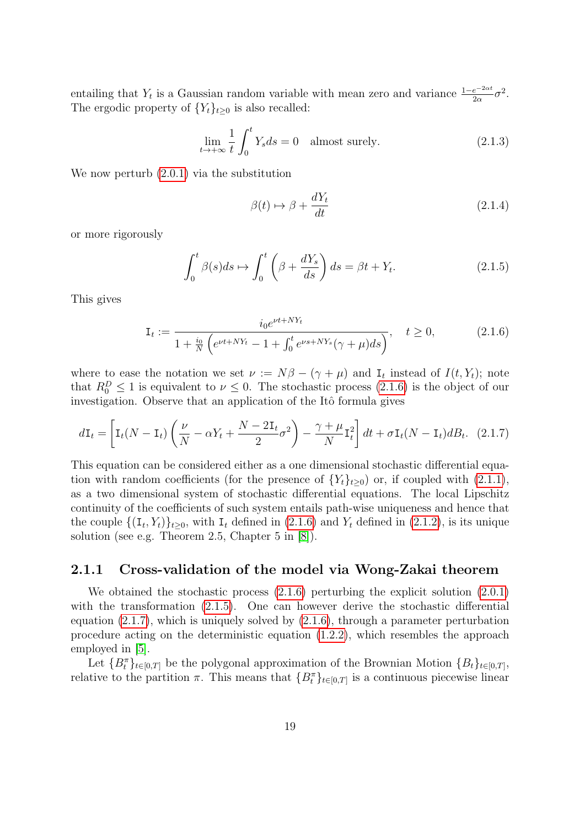entailing that  $Y_t$  is a Gaussian random variable with mean zero and variance  $\frac{1-e^{-2\alpha t}}{2\alpha}\sigma^2$ . The ergodic property of  ${Y_t}_{t\geq 0}$  is also recalled:

$$
\lim_{t \to +\infty} \frac{1}{t} \int_0^t Y_s ds = 0 \quad \text{almost surely.} \tag{2.1.3}
$$

We now perturb [\(2.0.1\)](#page-18-1) via the substitution

<span id="page-20-5"></span><span id="page-20-4"></span><span id="page-20-3"></span><span id="page-20-2"></span><span id="page-20-1"></span>
$$
\beta(t) \mapsto \beta + \frac{dY_t}{dt} \tag{2.1.4}
$$

or more rigorously

$$
\int_0^t \beta(s)ds \mapsto \int_0^t \left(\beta + \frac{dY_s}{ds}\right)ds = \beta t + Y_t.
$$
\n(2.1.5)

This gives

$$
\mathbf{I}_{t} := \frac{i_{0}e^{\nu t + NY_{t}}}{1 + \frac{i_{0}}{N}\left(e^{\nu t + NY_{t}} - 1 + \int_{0}^{t} e^{\nu s + NY_{s}}(\gamma + \mu)ds\right)}, \quad t \ge 0,
$$
\n(2.1.6)

where to ease the notation we set  $\nu := N\beta - (\gamma + \mu)$  and  $I_t$  instead of  $I(t, Y_t)$ ; note that  $R_0^D \leq 1$  is equivalent to  $\nu \leq 0$ . The stochastic process [\(2.1.6\)](#page-20-1) is the object of our investigation. Observe that an application of the Itô formula gives

$$
d\mathbf{I}_t = \left[\mathbf{I}_t(N - \mathbf{I}_t) \left(\frac{\nu}{N} - \alpha Y_t + \frac{N - 2\mathbf{I}_t}{2}\sigma^2\right) - \frac{\gamma + \mu}{N} \mathbf{I}_t^2\right] dt + \sigma \mathbf{I}_t(N - \mathbf{I}_t) dB_t.
$$
 (2.1.7)

This equation can be considered either as a one dimensional stochastic differential equation with random coefficients (for the presence of  ${Y_t}_{t\geq 0}$ ) or, if coupled with [\(2.1.1\)](#page-19-1), as a two dimensional system of stochastic differential equations. The local Lipschitz continuity of the coefficients of such system entails path-wise uniqueness and hence that the couple  $\{(\mathbf{I}_t, Y_t)\}_{t\geq0}$ , with  $\mathbf{I}_t$  defined in  $(2.1.6)$  and  $Y_t$  defined in  $(2.1.2)$ , is its unique solution (see e.g. Theorem 2.5, Chapter 5 in [\[8\]](#page-37-8)).

#### <span id="page-20-0"></span>2.1.1 Cross-validation of the model via Wong-Zakai theorem

We obtained the stochastic process [\(2.1.6\)](#page-20-1) perturbing the explicit solution [\(2.0.1\)](#page-18-1) with the transformation  $(2.1.5)$ . One can however derive the stochastic differential equation [\(2.1.7\)](#page-20-3), which is uniquely solved by [\(2.1.6\)](#page-20-1), through a parameter perturbation procedure acting on the deterministic equation [\(1.2.2\)](#page-15-1), which resembles the approach employed in [\[5\]](#page-37-0).

Let  ${B_t^{\pi}}_{t\in[0,T]}$  be the polygonal approximation of the Brownian Motion  ${B_t}_{t\in[0,T]}$ , relative to the partition  $\pi$ . This means that  $\{B_t^{\pi}\}_{t\in[0,T]}$  is a continuous piecewise linear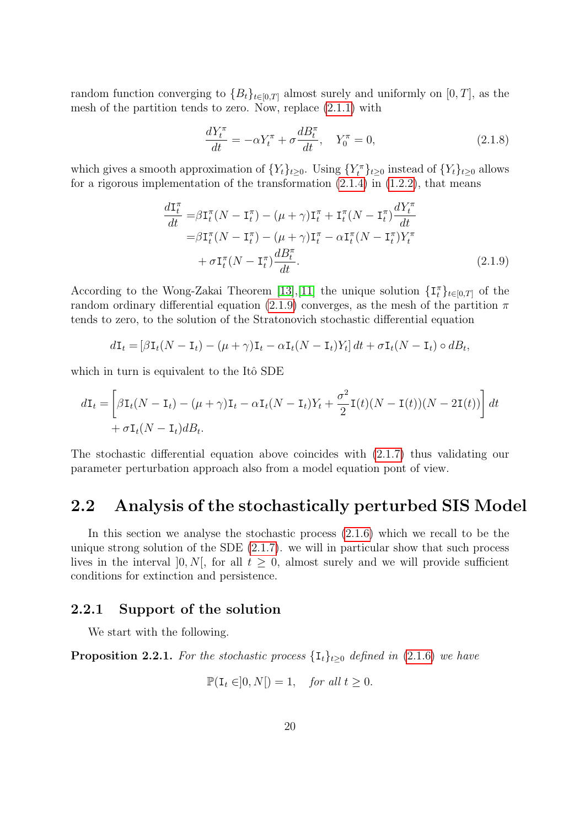random function converging to  ${B_t}_{t\in[0,T]}$  almost surely and uniformly on  $[0,T]$ , as the mesh of the partition tends to zero. Now, replace [\(2.1.1\)](#page-19-1) with

<span id="page-21-2"></span>
$$
\frac{dY_t^{\pi}}{dt} = -\alpha Y_t^{\pi} + \sigma \frac{dB_t^{\pi}}{dt}, \quad Y_0^{\pi} = 0,
$$
\n(2.1.8)

which gives a smooth approximation of  $\{Y_t\}_{t\geq 0}$ . Using  $\{Y_t^{\pi}\}_{t\geq 0}$  instead of  $\{Y_t\}_{t\geq 0}$  allows for a rigorous implementation of the transformation  $(2.1.4)$  in  $(1.2.2)$ , that means

$$
\frac{d\mathbf{I}_t^\pi}{dt} = \beta \mathbf{I}_t^\pi (N - \mathbf{I}_t^\pi) - (\mu + \gamma) \mathbf{I}_t^\pi + \mathbf{I}_t^\pi (N - \mathbf{I}_t^\pi) \frac{dY_t^\pi}{dt}
$$
\n
$$
= \beta \mathbf{I}_t^\pi (N - \mathbf{I}_t^\pi) - (\mu + \gamma) \mathbf{I}_t^\pi - \alpha \mathbf{I}_t^\pi (N - \mathbf{I}_t^\pi) Y_t^\pi
$$
\n
$$
+ \sigma \mathbf{I}_t^\pi (N - \mathbf{I}_t^\pi) \frac{dB_t^\pi}{dt}.
$$
\n(2.1.9)

According to the Wong-Zakai Theorem [\[13\]](#page-38-3),[\[11\]](#page-37-9) the unique solution  $\{\mathbf{I}_t^{\pi}\}_{t\in[0,T]}$  of the random ordinary differential equation [\(2.1.9\)](#page-21-2) converges, as the mesh of the partition  $\pi$ tends to zero, to the solution of the Stratonovich stochastic differential equation

$$
d\mathbf{I}_t = \left[\beta \mathbf{I}_t (N - \mathbf{I}_t) - (\mu + \gamma) \mathbf{I}_t - \alpha \mathbf{I}_t (N - \mathbf{I}_t) Y_t\right] dt + \sigma \mathbf{I}_t (N - \mathbf{I}_t) \circ dB_t,
$$

which in turn is equivalent to the Itô SDE

$$
d\mathbf{I}_t = \left[\beta \mathbf{I}_t (N - \mathbf{I}_t) - (\mu + \gamma) \mathbf{I}_t - \alpha \mathbf{I}_t (N - \mathbf{I}_t) Y_t + \frac{\sigma^2}{2} \mathbf{I}(t) (N - \mathbf{I}(t)) (N - 2\mathbf{I}(t))\right] dt
$$
  
+  $\sigma \mathbf{I}_t (N - \mathbf{I}_t) dB_t.$ 

The stochastic differential equation above coincides with [\(2.1.7\)](#page-20-3) thus validating our parameter perturbation approach also from a model equation pont of view.

# <span id="page-21-0"></span>2.2 Analysis of the stochastically perturbed SIS Model

In this section we analyse the stochastic process [\(2.1.6\)](#page-20-1) which we recall to be the unique strong solution of the SDE [\(2.1.7\)](#page-20-3). we will in particular show that such process lives in the interval [0, N[, for all  $t \geq 0$ , almost surely and we will provide sufficient conditions for extinction and persistence.

### <span id="page-21-1"></span>2.2.1 Support of the solution

We start with the following.

<span id="page-21-3"></span>**Proposition 2.2.1.** For the stochastic process  $\{I_t\}_{t>0}$  defined in [\(2.1.6\)](#page-20-1) we have

$$
\mathbb{P}(\mathbf{I}_t \in ]0, N[)=1, \quad \text{for all } t \ge 0.
$$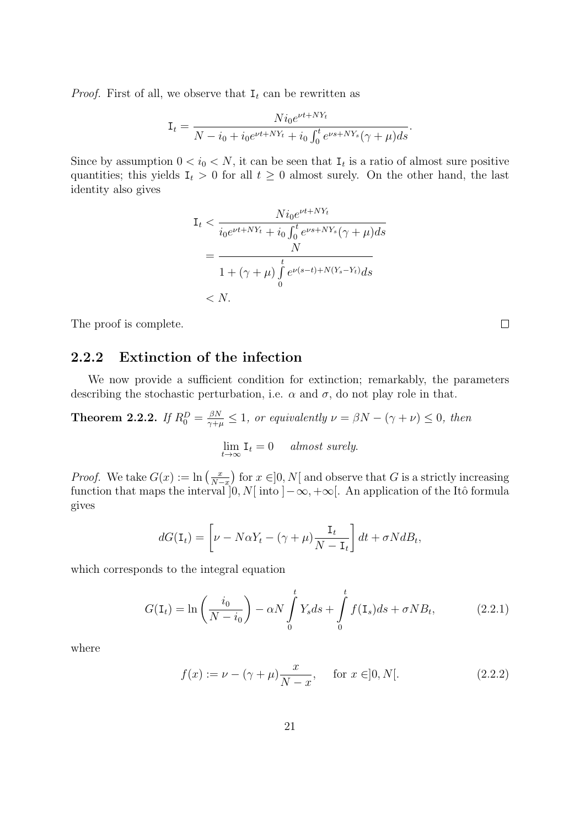*Proof.* First of all, we observe that  $I_t$  can be rewritten as

$$
\mathbf{I}_{t} = \frac{Ni_{0}e^{\nu t + NY_{t}}}{N - i_{0} + i_{0}e^{\nu t + NY_{t}} + i_{0} \int_{0}^{t} e^{\nu s + NY_{s}}(\gamma + \mu)ds}.
$$

Since by assumption  $0 < i_0 < N$ , it can be seen that  $I_t$  is a ratio of almost sure positive quantities; this yields  $I_t > 0$  for all  $t \geq 0$  almost surely. On the other hand, the last identity also gives

$$
\begin{aligned} \mathbf{I}_t &< \frac{Ni_0 e^{\nu t + NY_t}}{i_0 e^{\nu t + NY_t} + i_0 \int_0^t e^{\nu s + NY_s} (\gamma + \mu) ds} \\ &= \frac{N}{1 + (\gamma + \mu) \int_0^t e^{\nu (s - t) + N(Y_s - Y_t)} ds} \\ &< N. \end{aligned}
$$

The proof is complete.

## <span id="page-22-0"></span>2.2.2 Extinction of the infection

We now provide a sufficient condition for extinction; remarkably, the parameters describing the stochastic perturbation, i.e.  $\alpha$  and  $\sigma$ , do not play role in that.

<span id="page-22-3"></span>**Theorem 2.2.2.** If 
$$
R_0^D = \frac{\beta N}{\gamma + \mu} \le 1
$$
, or equivalently  $\nu = \beta N - (\gamma + \nu) \le 0$ , then  

$$
\lim_{t \to \infty} I_t = 0 \quad almost \ surely.
$$

*Proof.* We take  $G(x) := \ln\left(\frac{x}{N}\right)$  $\left(\frac{x}{N-x}\right)$  for  $x \in ]0, N[$  and observe that G is a strictly increasing function that maps the interval  $[0, N]$  into  $]-\infty, +\infty[$ . An application of the Itô formula gives

$$
dG(\mathbf{I}_t) = \left[\nu - N\alpha Y_t - (\gamma + \mu)\frac{\mathbf{I}_t}{N - \mathbf{I}_t}\right]dt + \sigma NdB_t,
$$

which corresponds to the integral equation

$$
G(\mathbf{I}_t) = \ln\left(\frac{i_0}{N - i_0}\right) - \alpha N \int_0^t Y_s ds + \int_0^t f(\mathbf{I}_s) ds + \sigma N B_t, \tag{2.2.1}
$$

where

<span id="page-22-2"></span>
$$
f(x) := \nu - (\gamma + \mu) \frac{x}{N - x}, \quad \text{for } x \in ]0, N[.
$$
 (2.2.2)

<span id="page-22-1"></span> $\Box$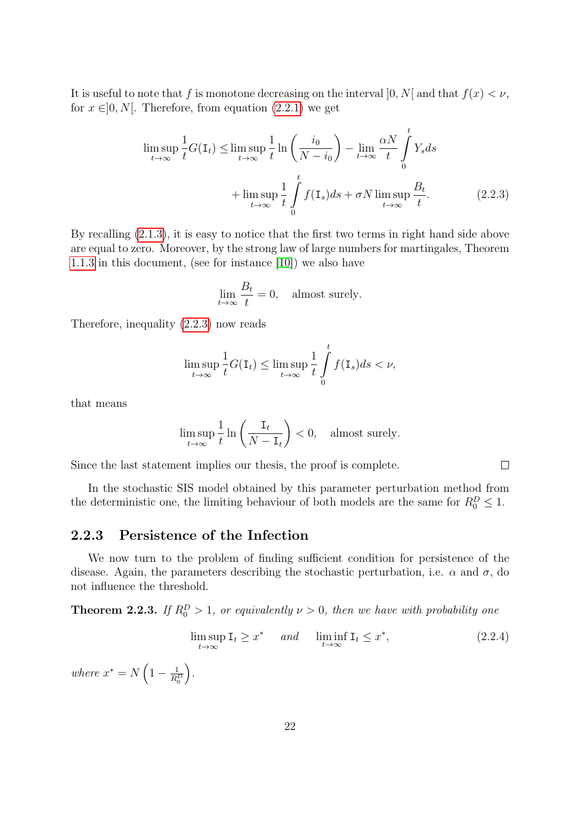It is useful to note that f is monotone decreasing on the interval  $[0, N]$  and that  $f(x) < \nu$ , for  $x \in ]0, N[$ . Therefore, from equation  $(2.2.1)$  we get

$$
\limsup_{t \to \infty} \frac{1}{t} G(\mathbf{I}_t) \le \limsup_{t \to \infty} \frac{1}{t} \ln \left( \frac{i_0}{N - i_0} \right) - \lim_{t \to \infty} \frac{\alpha N}{t} \int_0^t Y_s ds
$$

$$
+ \limsup_{t \to \infty} \frac{1}{t} \int_0^t f(\mathbf{I}_s) ds + \sigma N \limsup_{t \to \infty} \frac{B_t}{t}.
$$
(2.2.3)

By recalling [\(2.1.3\)](#page-20-5), it is easy to notice that the first two terms in right hand side above are equal to zero. Moreover, by the strong law of large numbers for martingales, Theorem [1.1.3](#page-6-1) in this document, (see for instance [\[10\]](#page-37-2)) we also have

<span id="page-23-1"></span>
$$
\lim_{t \to \infty} \frac{B_t}{t} = 0, \quad \text{almost surely.}
$$

Therefore, inequality [\(2.2.3\)](#page-23-1) now reads

$$
\limsup_{t \to \infty} \frac{1}{t} G(\mathbf{I}_t) \le \limsup_{t \to \infty} \frac{1}{t} \int_{0}^{t} f(\mathbf{I}_s) ds < \nu,
$$

that means

$$
\limsup_{t \to \infty} \frac{1}{t} \ln \left( \frac{\mathbf{I}_t}{N - \mathbf{I}_t} \right) < 0, \quad \text{almost surely.}
$$

Since the last statement implies our thesis, the proof is complete.

In the stochastic SIS model obtained by this parameter perturbation method from the deterministic one, the limiting behaviour of both models are the same for  $R_0^D \leq 1$ .

## <span id="page-23-0"></span>2.2.3 Persistence of the Infection

We now turn to the problem of finding sufficient condition for persistence of the disease. Again, the parameters describing the stochastic perturbation, i.e.  $\alpha$  and  $\sigma$ , do not influence the threshold.

<span id="page-23-3"></span>**Theorem 2.2.3.** If  $R_0^D > 1$ , or equivalently  $\nu > 0$ , then we have with probability one

$$
\limsup_{t \to \infty} \mathbf{I}_t \ge x^* \quad \text{and} \quad \liminf_{t \to \infty} \mathbf{I}_t \le x^*, \tag{2.2.4}
$$

<span id="page-23-2"></span> $\Box$ 

where  $x^* = N\left(1 - \frac{1}{R^2}\right)$  $\overline{R^D_0}$ .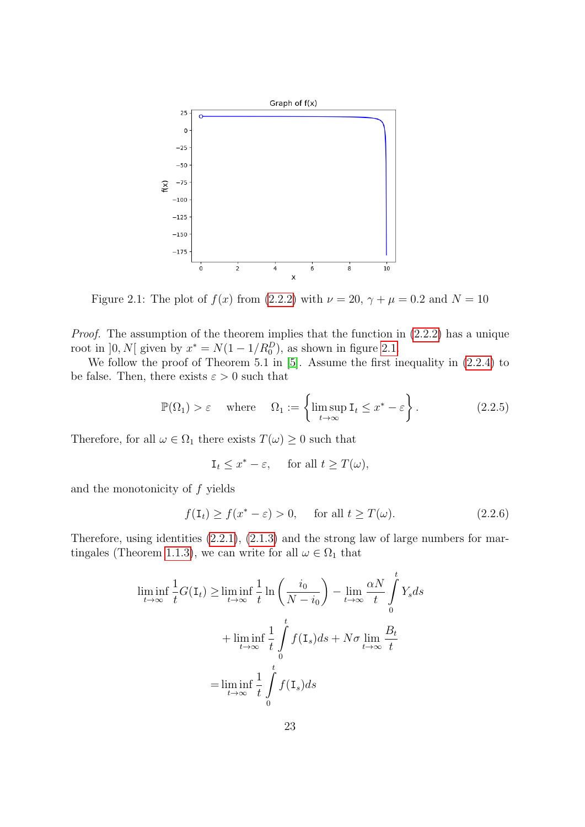<span id="page-24-0"></span>

Figure 2.1: The plot of  $f(x)$  from [\(2.2.2\)](#page-22-2) with  $\nu = 20$ ,  $\gamma + \mu = 0.2$  and  $N = 10$ 

Proof. The assumption of the theorem implies that the function in [\(2.2.2\)](#page-22-2) has a unique root in  $]0, N[$  given by  $x^* = N(1 - 1/R_0^D)$ , as shown in figure [2.1.](#page-24-0)

We follow the proof of Theorem 5.1 in [\[5\]](#page-37-0). Assume the first inequality in [\(2.2.4\)](#page-23-2) to be false. Then, there exists  $\varepsilon > 0$  such that

$$
\mathbb{P}(\Omega_1) > \varepsilon \quad \text{where} \quad \Omega_1 := \left\{ \limsup_{t \to \infty} \mathbf{I}_t \le x^* - \varepsilon \right\}. \tag{2.2.5}
$$

Therefore, for all  $\omega \in \Omega_1$  there exists  $T(\omega) \geq 0$  such that

<span id="page-24-1"></span>
$$
\mathbf{I}_t \le x^* - \varepsilon, \quad \text{ for all } t \ge T(\omega),
$$

and the monotonicity of f yields

$$
f(\mathbf{I}_t) \ge f(x^* - \varepsilon) > 0, \quad \text{for all } t \ge T(\omega). \tag{2.2.6}
$$

Therefore, using identities [\(2.2.1\)](#page-22-1), [\(2.1.3\)](#page-20-5) and the strong law of large numbers for mar-tingales (Theorem [1.1.3\)](#page-6-1), we can write for all  $\omega \in \Omega_1$  that

$$
\liminf_{t \to \infty} \frac{1}{t} G(\mathbf{I}_t) \ge \liminf_{t \to \infty} \frac{1}{t} \ln \left( \frac{i_0}{N - i_0} \right) - \lim_{t \to \infty} \frac{\alpha N}{t} \int_0^t Y_s ds
$$

$$
+ \liminf_{t \to \infty} \frac{1}{t} \int_0^t f(\mathbf{I}_s) ds + N\sigma \lim_{t \to \infty} \frac{B_t}{t}
$$

$$
= \liminf_{t \to \infty} \frac{1}{t} \int_0^t f(\mathbf{I}_s) ds
$$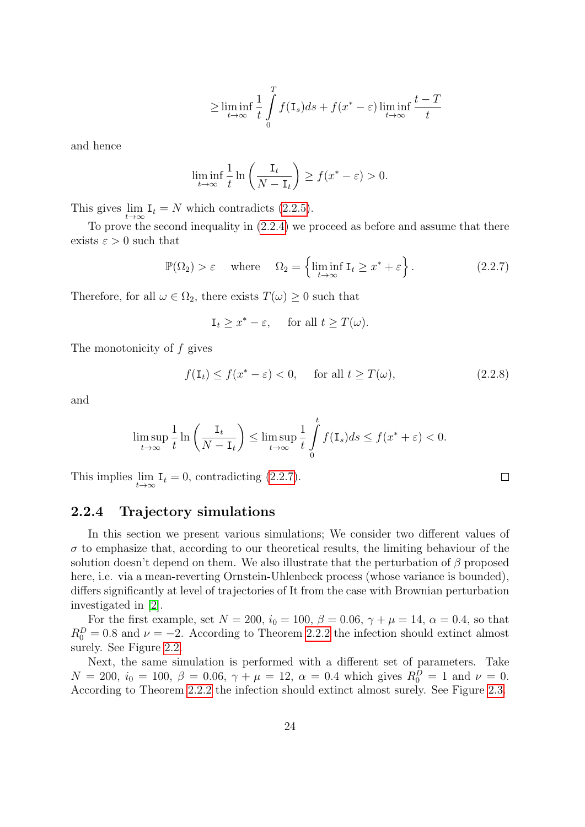$$
\geq \liminf_{t \to \infty} \frac{1}{t} \int_{0}^{T} f(\mathbf{I}_s) ds + f(x^* - \varepsilon) \liminf_{t \to \infty} \frac{t - T}{t}
$$

and hence

$$
\liminf_{t \to \infty} \frac{1}{t} \ln \left( \frac{\mathbf{I}_t}{N - \mathbf{I}_t} \right) \ge f(x^* - \varepsilon) > 0.
$$

This gives  $\lim_{t \to \infty} \mathbf{I}_t = N$  which contradicts [\(2.2.5\)](#page-24-1).

To prove the second inequality in [\(2.2.4\)](#page-23-2) we proceed as before and assume that there exists  $\varepsilon > 0$  such that

$$
\mathbb{P}(\Omega_2) > \varepsilon \quad \text{where} \quad \Omega_2 = \left\{ \liminf_{t \to \infty} \mathbf{I}_t \ge x^* + \varepsilon \right\}. \tag{2.2.7}
$$

Therefore, for all  $\omega \in \Omega_2$ , there exists  $T(\omega) \geq 0$  such that

$$
\mathbf{I}_t \ge x^* - \varepsilon, \quad \text{ for all } t \ge T(\omega).
$$

The monotonicity of  $f$  gives

$$
f(\mathbf{I}_t) \le f(x^* - \varepsilon) < 0, \quad \text{for all } t \ge T(\omega), \tag{2.2.8}
$$

<span id="page-25-1"></span> $\Box$ 

and

$$
\limsup_{t \to \infty} \frac{1}{t} \ln \left( \frac{\mathbf{I}_t}{N - \mathbf{I}_t} \right) \le \limsup_{t \to \infty} \frac{1}{t} \int_0^t f(\mathbf{I}_s) ds \le f(x^* + \varepsilon) < 0.
$$

This implies  $\lim_{t\to\infty} \mathbf{I}_t = 0$ , contradicting [\(2.2.7\)](#page-25-1).

### <span id="page-25-0"></span>2.2.4 Trajectory simulations

In this section we present various simulations; We consider two different values of  $\sigma$  to emphasize that, according to our theoretical results, the limiting behaviour of the solution doesn't depend on them. We also illustrate that the perturbation of  $\beta$  proposed here, i.e. via a mean-reverting Ornstein-Uhlenbeck process (whose variance is bounded), differs significantly at level of trajectories of It from the case with Brownian perturbation investigated in [\[2\]](#page-37-1).

For the first example, set  $N = 200$ ,  $i_0 = 100$ ,  $\beta = 0.06$ ,  $\gamma + \mu = 14$ ,  $\alpha = 0.4$ , so that  $R_0^D = 0.8$  and  $\nu = -2$ . According to Theorem [2.2.2](#page-22-3) the infection should extinct almost surely. See Figure [2.2.](#page-26-0)

Next, the same simulation is performed with a different set of parameters. Take  $N = 200$ ,  $i_0 = 100$ ,  $\beta = 0.06$ ,  $\gamma + \mu = 12$ ,  $\alpha = 0.4$  which gives  $R_0^D = 1$  and  $\nu = 0$ . According to Theorem [2.2.2](#page-22-3) the infection should extinct almost surely. See Figure [2.3.](#page-26-1)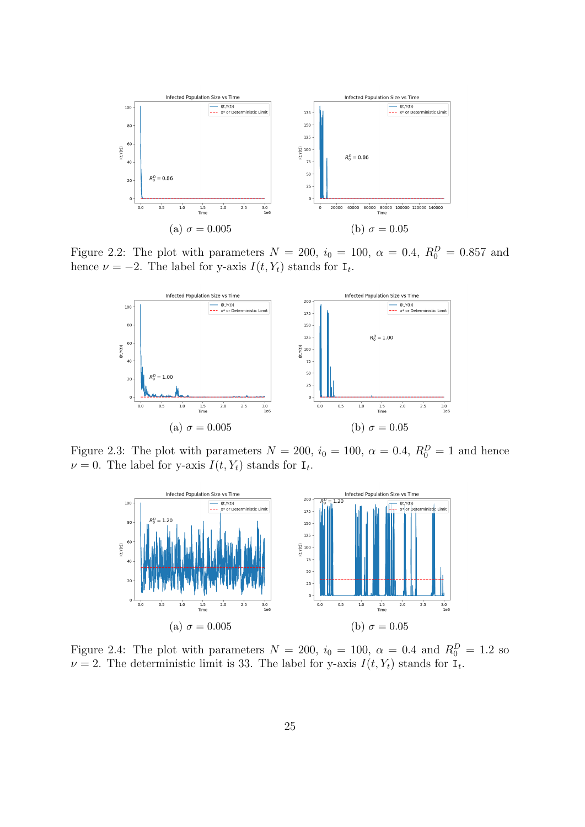<span id="page-26-0"></span>

<span id="page-26-1"></span>Figure 2.2: The plot with parameters  $N = 200$ ,  $i_0 = 100$ ,  $\alpha = 0.4$ ,  $R_0^D = 0.857$  and hence  $\nu = -2$ . The label for y-axis  $I(t, Y_t)$  stands for  $I_t$ .



<span id="page-26-2"></span>Figure 2.3: The plot with parameters  $N = 200$ ,  $i_0 = 100$ ,  $\alpha = 0.4$ ,  $R_0^D = 1$  and hence  $\nu = 0$ . The label for y-axis  $I(t, Y_t)$  stands for  $I_t$ .



Figure 2.4: The plot with parameters  $N = 200$ ,  $i_0 = 100$ ,  $\alpha = 0.4$  and  $R_0^D = 1.2$  so  $\nu = 2$ . The deterministic limit is 33. The label for y-axis  $I(t, Y_t)$  stands for  $I_t$ .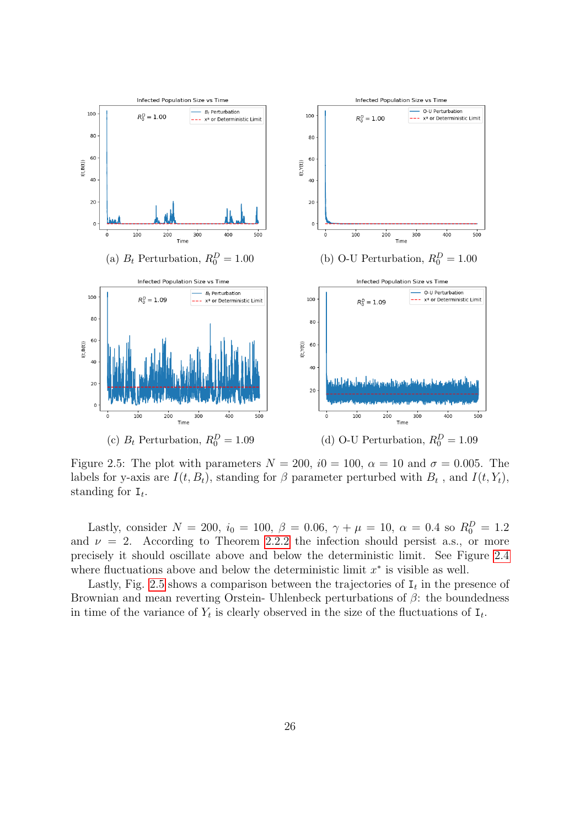<span id="page-27-0"></span>

Figure 2.5: The plot with parameters  $N = 200$ ,  $i0 = 100$ ,  $\alpha = 10$  and  $\sigma = 0.005$ . The labels for y-axis are  $I(t, B_t)$ , standing for  $\beta$  parameter perturbed with  $B_t$ , and  $I(t, Y_t)$ , standing for  $I_t$ .

Lastly, consider  $N = 200$ ,  $i_0 = 100$ ,  $\beta = 0.06$ ,  $\gamma + \mu = 10$ ,  $\alpha = 0.4$  so  $R_0^D = 1.2$ and  $\nu = 2$ . According to Theorem [2.2.2](#page-22-3) the infection should persist a.s., or more precisely it should oscillate above and below the deterministic limit. See Figure [2.4](#page-26-2) where fluctuations above and below the deterministic limit  $x^*$  is visible as well.

Lastly, Fig. [2.5](#page-27-0) shows a comparison between the trajectories of  $I_t$  in the presence of Brownian and mean reverting Orstein- Uhlenbeck perturbations of  $\beta$ : the boundedness in time of the variance of  $Y_t$  is clearly observed in the size of the fluctuations of  $I_t$ .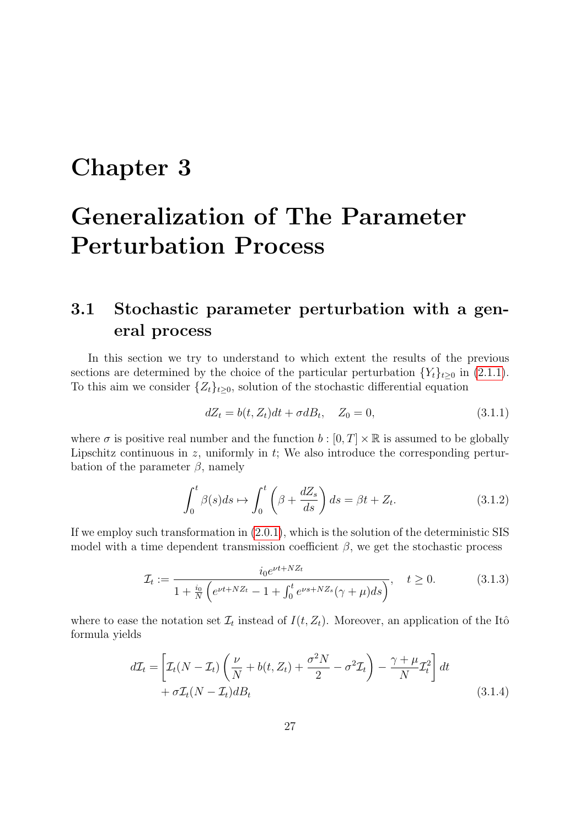# <span id="page-28-0"></span>Chapter 3

# Generalization of The Parameter Perturbation Process

# <span id="page-28-1"></span>3.1 Stochastic parameter perturbation with a general process

In this section we try to understand to which extent the results of the previous sections are determined by the choice of the particular perturbation  ${Y_t}_{t\geq0}$  in [\(2.1.1\)](#page-19-1). To this aim we consider  $\{Z_t\}_{t\geq 0}$ , solution of the stochastic differential equation

<span id="page-28-2"></span>
$$
dZ_t = b(t, Z_t)dt + \sigma dB_t, \quad Z_0 = 0,
$$
\n(3.1.1)

where  $\sigma$  is positive real number and the function  $b : [0, T] \times \mathbb{R}$  is assumed to be globally Lipschitz continuous in  $z$ , uniformly in  $t$ ; We also introduce the corresponding perturbation of the parameter  $\beta$ , namely

<span id="page-28-3"></span>
$$
\int_0^t \beta(s)ds \mapsto \int_0^t \left(\beta + \frac{dZ_s}{ds}\right)ds = \beta t + Z_t.
$$
 (3.1.2)

If we employ such transformation in [\(2.0.1\)](#page-18-1), which is the solution of the deterministic SIS model with a time dependent transmission coefficient  $\beta$ , we get the stochastic process

$$
\mathcal{I}_t := \frac{i_0 e^{\nu t + NZ_t}}{1 + \frac{i_0}{N} \left( e^{\nu t + NZ_t} - 1 + \int_0^t e^{\nu s + NZ_s} (\gamma + \mu) ds \right)}, \quad t \ge 0.
$$
\n(3.1.3)

where to ease the notation set  $\mathcal{I}_t$  instead of  $I(t, Z_t)$ . Moreover, an application of the Itô formula yields

<span id="page-28-4"></span>
$$
d\mathcal{I}_t = \left[ \mathcal{I}_t(N - \mathcal{I}_t) \left( \frac{\nu}{N} + b(t, Z_t) + \frac{\sigma^2 N}{2} - \sigma^2 \mathcal{I}_t \right) - \frac{\gamma + \mu}{N} \mathcal{I}_t^2 \right] dt
$$
  
+  $\sigma \mathcal{I}_t(N - \mathcal{I}_t) dB_t$  (3.1.4)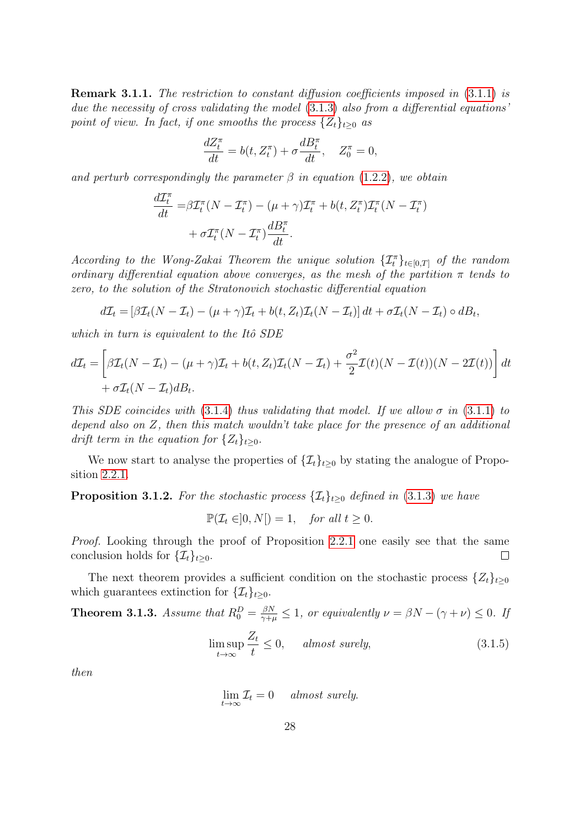Remark 3.1.1. The restriction to constant diffusion coefficients imposed in [\(3.1.1\)](#page-28-2) is due the necessity of cross validating the model  $(3.1.3)$  also from a differential equations' point of view. In fact, if one smooths the process  $\{Z_t\}_{t\geq0}$  as

$$
\frac{dZ_t^{\pi}}{dt} = b(t, Z_t^{\pi}) + \sigma \frac{dB_t^{\pi}}{dt}, \quad Z_0^{\pi} = 0,
$$

and perturb correspondingly the parameter  $\beta$  in equation [\(1.2.2\)](#page-15-1), we obtain

$$
\frac{d\mathcal{I}_t^{\pi}}{dt} = \beta \mathcal{I}_t^{\pi} (N - \mathcal{I}_t^{\pi}) - (\mu + \gamma) \mathcal{I}_t^{\pi} + b(t, Z_t^{\pi}) \mathcal{I}_t^{\pi} (N - \mathcal{I}_t^{\pi}) \n+ \sigma \mathcal{I}_t^{\pi} (N - \mathcal{I}_t^{\pi}) \frac{dB_t^{\pi}}{dt}.
$$

According to the Wong-Zakai Theorem the unique solution  $\{\mathcal{I}_t^{\pi}\}_{t\in[0,T]}$  of the random ordinary differential equation above converges, as the mesh of the partition  $\pi$  tends to zero, to the solution of the Stratonovich stochastic differential equation

$$
d\mathcal{I}_t = \left[\beta \mathcal{I}_t(N - \mathcal{I}_t) - (\mu + \gamma)\mathcal{I}_t + b(t, Z_t)\mathcal{I}_t(N - \mathcal{I}_t)\right]dt + \sigma \mathcal{I}_t(N - \mathcal{I}_t) \circ dB_t,
$$

which in turn is equivalent to the Itô  $SDE$ 

$$
d\mathcal{I}_t = \left[ \beta \mathcal{I}_t (N - \mathcal{I}_t) - (\mu + \gamma) \mathcal{I}_t + b(t, Z_t) \mathcal{I}_t (N - \mathcal{I}_t) + \frac{\sigma^2}{2} \mathcal{I}(t) (N - \mathcal{I}(t)) (N - 2\mathcal{I}(t)) \right] dt
$$
  
+  $\sigma \mathcal{I}_t (N - \mathcal{I}_t) dB_t.$ 

This SDE coincides with [\(3.1.4\)](#page-28-4) thus validating that model. If we allow  $\sigma$  in [\(3.1.1\)](#page-28-2) to depend also on Z, then this match wouldn't take place for the presence of an additional drift term in the equation for  $\{Z_t\}_{t>0}$ .

We now start to analyse the properties of  $\{\mathcal{I}_t\}_{t\geq 0}$  by stating the analogue of Proposition [2.2.1.](#page-21-3)

**Proposition 3.1.2.** For the stochastic process  $\{\mathcal{I}_t\}_{t>0}$  defined in [\(3.1.3\)](#page-28-3) we have

 $\mathbb{P}(\mathcal{I}_t \in ]0,N]) = 1, \text{ for all } t \geq 0.$ 

Proof. Looking through the proof of Proposition [2.2.1](#page-21-3) one easily see that the same conclusion holds for  $\{\mathcal{I}_t\}_{t\geq 0}$ .  $\Box$ 

The next theorem provides a sufficient condition on the stochastic process  $\{Z_t\}_{t\geq 0}$ which guarantees extinction for  $\{\mathcal{I}_t\}_{t>0}$ .

<span id="page-29-1"></span>**Theorem 3.1.3.** Assume that  $R_0^D = \frac{\beta N}{\gamma + \mu} \leq 1$ , or equivalently  $\nu = \beta N - (\gamma + \nu) \leq 0$ . If

$$
\limsup_{t \to \infty} \frac{Z_t}{t} \le 0, \qquad almost \ surely,\tag{3.1.5}
$$

then

<span id="page-29-0"></span>
$$
\lim_{t \to \infty} \mathcal{I}_t = 0 \quad almost \ surely.
$$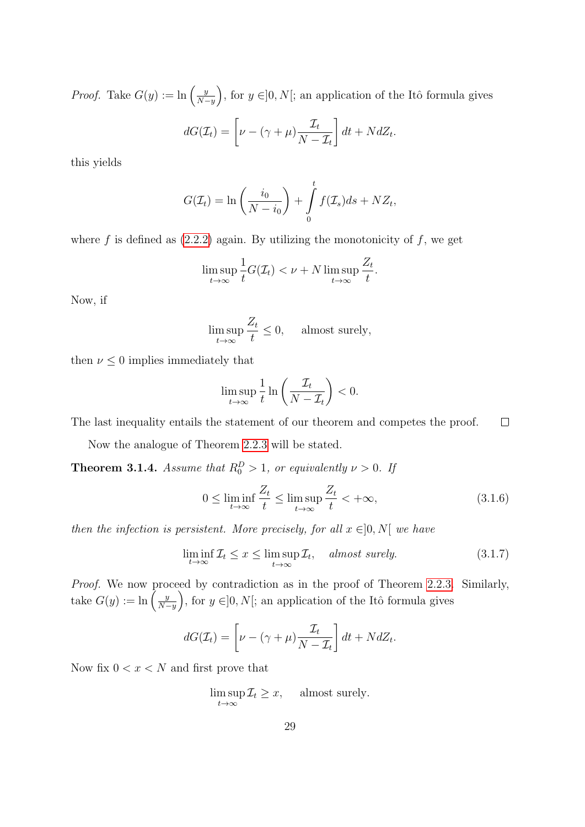*Proof.* Take  $G(y) := \ln \left( \frac{y}{N} \right)$  $\left(\frac{y}{N-y}\right)$ , for  $y \in ]0, N[$ ; an application of the Itô formula gives

$$
dG(\mathcal{I}_t) = \left[\nu - (\gamma + \mu)\frac{\mathcal{I}_t}{N - \mathcal{I}_t}\right]dt + NdZ_t.
$$

this yields

$$
G(\mathcal{I}_t) = \ln\left(\frac{i_0}{N - i_0}\right) + \int\limits_0^t f(\mathcal{I}_s)ds + NZ_t,
$$

where f is defined as  $(2.2.2)$  again. By utilizing the monotonicity of f, we get

$$
\limsup_{t \to \infty} \frac{1}{t} G(\mathcal{I}_t) < \nu + N \limsup_{t \to \infty} \frac{Z_t}{t}.
$$

Now, if

$$
\limsup_{t \to \infty} \frac{Z_t}{t} \le 0, \quad \text{ almost surely,}
$$

then  $\nu \leq 0$  implies immediately that

$$
\limsup_{t \to \infty} \frac{1}{t} \ln \left( \frac{\mathcal{I}_t}{N - \mathcal{I}_t} \right) < 0.
$$

The last inequality entails the statement of our theorem and competes the proof.  $\Box$ 

Now the analogue of Theorem [2.2.3](#page-23-3) will be stated.

<span id="page-30-1"></span>**Theorem 3.1.4.** Assume that  $R_0^D > 1$ , or equivalently  $\nu > 0$ . If

<span id="page-30-0"></span>
$$
0 \le \liminf_{t \to \infty} \frac{Z_t}{t} \le \limsup_{t \to \infty} \frac{Z_t}{t} < +\infty,
$$
\n(3.1.6)

then the infection is persistent. More precisely, for all  $x \in ]0, N[$  we have

$$
\liminf_{t \to \infty} \mathcal{I}_t \le x \le \limsup_{t \to \infty} \mathcal{I}_t, \quad \text{almost surely.} \tag{3.1.7}
$$

Proof. We now proceed by contradiction as in the proof of Theorem [2.2.3.](#page-23-3) Similarly, take  $G(y) := \ln \left( \frac{y}{N} \right)$  $\left(\frac{y}{N-y}\right)$ , for  $y \in ]0, N[$ ; an application of the Itô formula gives

$$
dG(\mathcal{I}_t) = \left[\nu - (\gamma + \mu)\frac{\mathcal{I}_t}{N - \mathcal{I}_t}\right]dt + NdZ_t.
$$

Now fix  $0 < x < N$  and first prove that

$$
\limsup_{t \to \infty} \mathcal{I}_t \ge x, \quad \text{ almost surely.}
$$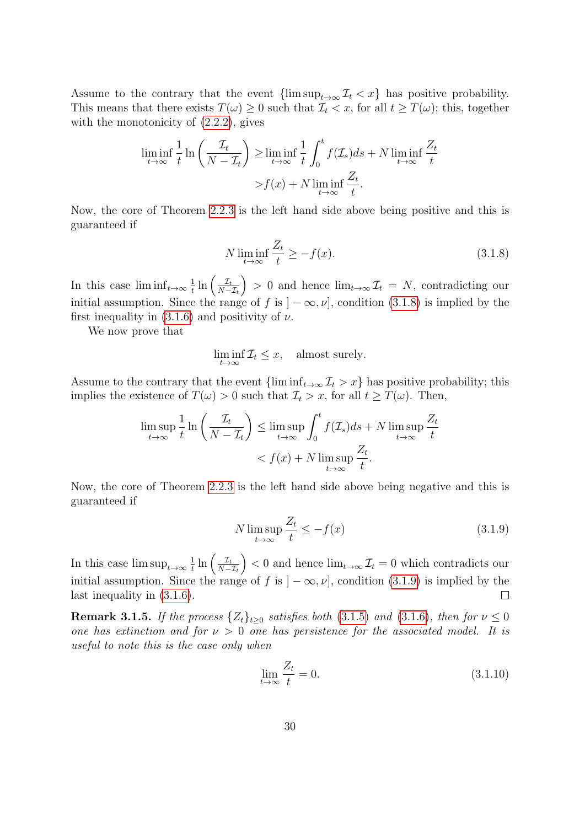Assume to the contrary that the event  $\{\limsup_{t\to\infty}\mathcal{I}_t < x\}$  has positive probability. This means that there exists  $T(\omega) \geq 0$  such that  $\mathcal{I}_t < x$ , for all  $t \geq T(\omega)$ ; this, together with the monotonicity of  $(2.2.2)$ , gives

$$
\liminf_{t \to \infty} \frac{1}{t} \ln \left( \frac{\mathcal{I}_t}{N - \mathcal{I}_t} \right) \ge \liminf_{t \to \infty} \frac{1}{t} \int_0^t f(\mathcal{I}_s) ds + N \liminf_{t \to \infty} \frac{Z_t}{t}
$$

$$
> f(x) + N \liminf_{t \to \infty} \frac{Z_t}{t}.
$$

Now, the core of Theorem [2.2.3](#page-23-3) is the left hand side above being positive and this is guaranteed if

<span id="page-31-0"></span>
$$
N \liminf_{t \to \infty} \frac{Z_t}{t} \ge -f(x). \tag{3.1.8}
$$

In this case  $\liminf_{t\to\infty}\frac{1}{t}$  $\frac{1}{t}\ln\left(\frac{\mathcal{I}_t}{N-t}\right)$  $N-\mathcal{I}_t$  $\Big) > 0$  and hence  $\lim_{t\to\infty} \mathcal{I}_t = N$ , contradicting our initial assumption. Since the range of f is  $]-\infty, \nu]$ , condition [\(3.1.8\)](#page-31-0) is implied by the first inequality in  $(3.1.6)$  and positivity of  $\nu$ .

We now prove that

$$
\liminf_{t \to \infty} \mathcal{I}_t \le x, \quad \text{almost surely.}
$$

Assume to the contrary that the event  $\{\liminf_{t\to\infty}\mathcal{I}_t > x\}$  has positive probability; this implies the existence of  $T(\omega) > 0$  such that  $\mathcal{I}_t > x$ , for all  $t \geq T(\omega)$ . Then,

$$
\limsup_{t \to \infty} \frac{1}{t} \ln \left( \frac{\mathcal{I}_t}{N - \mathcal{I}_t} \right) \le \limsup_{t \to \infty} \int_0^t f(\mathcal{I}_s) ds + N \limsup_{t \to \infty} \frac{Z_t}{t}
$$

$$
< f(x) + N \limsup_{t \to \infty} \frac{Z_t}{t}.
$$

Now, the core of Theorem [2.2.3](#page-23-3) is the left hand side above being negative and this is guaranteed if

<span id="page-31-1"></span>
$$
N \limsup_{t \to \infty} \frac{Z_t}{t} \le -f(x) \tag{3.1.9}
$$

 $\frac{1}{t}\ln\left(\frac{\mathcal{I}_t}{N-t}\right)$  $(0, 0)$  and hence  $\lim_{t\to\infty} \mathcal{I}_t = 0$  which contradicts our In this case  $\limsup_{t\to\infty}\frac{1}{t}$  $N-\mathcal{I}_t$ initial assumption. Since the range of f is  $]-\infty, \nu]$ , condition [\(3.1.9\)](#page-31-1) is implied by the last inequality in [\(3.1.6\)](#page-30-0).  $\Box$ 

**Remark 3.1.5.** If the process  $\{Z_t\}_{t>0}$  satisfies both [\(3.1.5\)](#page-29-0) and [\(3.1.6\)](#page-30-0), then for  $\nu \leq 0$ one has extinction and for  $\nu > 0$  one has persistence for the associated model. It is useful to note this is the case only when

<span id="page-31-2"></span>
$$
\lim_{t \to \infty} \frac{Z_t}{t} = 0. \tag{3.1.10}
$$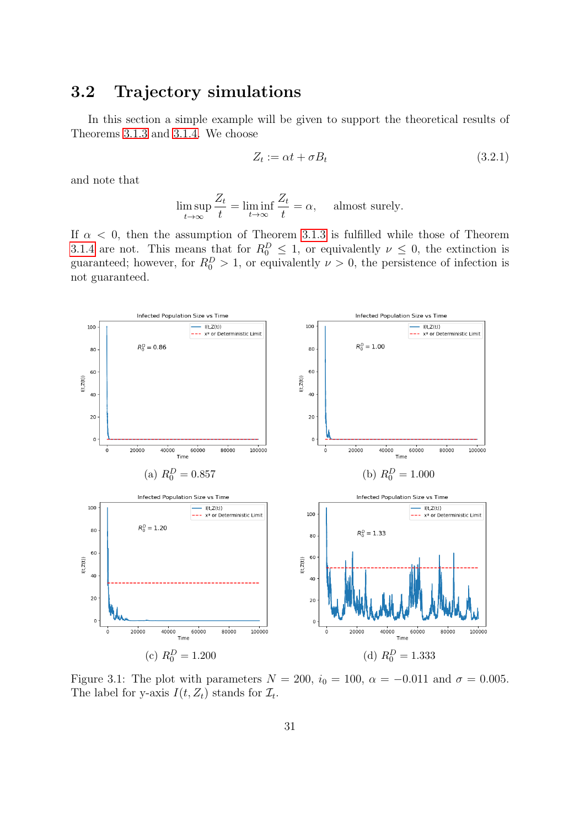# <span id="page-32-0"></span>3.2 Trajectory simulations

In this section a simple example will be given to support the theoretical results of Theorems [3.1.3](#page-29-1) and [3.1.4.](#page-30-1) We choose

$$
Z_t := \alpha t + \sigma B_t \tag{3.2.1}
$$

and note that

$$
\limsup_{t \to \infty} \frac{Z_t}{t} = \liminf_{t \to \infty} \frac{Z_t}{t} = \alpha, \quad \text{ almost surely.}
$$

If  $\alpha$  < 0, then the assumption of Theorem [3.1.3](#page-29-1) is fulfilled while those of Theorem [3.1.4](#page-30-1) are not. This means that for  $R_0^D \leq 1$ , or equivalently  $\nu \leq 0$ , the extinction is guaranteed; however, for  $R_0^D > 1$ , or equivalently  $\nu > 0$ , the persistence of infection is not guaranteed.

<span id="page-32-1"></span>

Figure 3.1: The plot with parameters  $N = 200$ ,  $i_0 = 100$ ,  $\alpha = -0.011$  and  $\sigma = 0.005$ . The label for y-axis  $I(t, Z_t)$  stands for  $\mathcal{I}_t$ .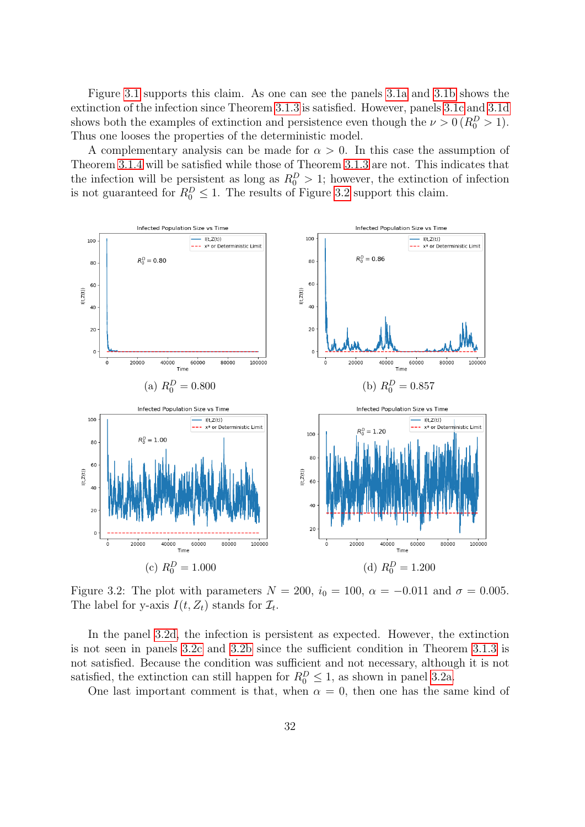Figure [3.1](#page-32-1) supports this claim. As one can see the panels [3.1a](#page-32-1) and [3.1b](#page-32-1) shows the extinction of the infection since Theorem [3.1.3](#page-29-1) is satisfied. However, panels [3.1c](#page-32-1) and [3.1d](#page-32-1) shows both the examples of extinction and persistence even though the  $\nu > 0$  ( $R_0^D > 1$ ). Thus one looses the properties of the deterministic model.

A complementary analysis can be made for  $\alpha > 0$ . In this case the assumption of Theorem [3.1.4](#page-30-1) will be satisfied while those of Theorem [3.1.3](#page-29-1) are not. This indicates that the infection will be persistent as long as  $R_0^D > 1$ ; however, the extinction of infection is not guaranteed for  $R_0^D \leq 1$ . The results of Figure [3.2](#page-33-0) support this claim.

<span id="page-33-0"></span>

Figure 3.2: The plot with parameters  $N = 200$ ,  $i_0 = 100$ ,  $\alpha = -0.011$  and  $\sigma = 0.005$ . The label for y-axis  $I(t, Z_t)$  stands for  $\mathcal{I}_t$ .

In the panel [3.2d,](#page-33-0) the infection is persistent as expected. However, the extinction is not seen in panels [3.2c](#page-33-0) and [3.2b](#page-33-0) since the sufficient condition in Theorem [3.1.3](#page-29-1) is not satisfied. Because the condition was sufficient and not necessary, although it is not satisfied, the extinction can still happen for  $R_0^D \leq 1$ , as shown in panel [3.2a.](#page-33-0)

One last important comment is that, when  $\alpha = 0$ , then one has the same kind of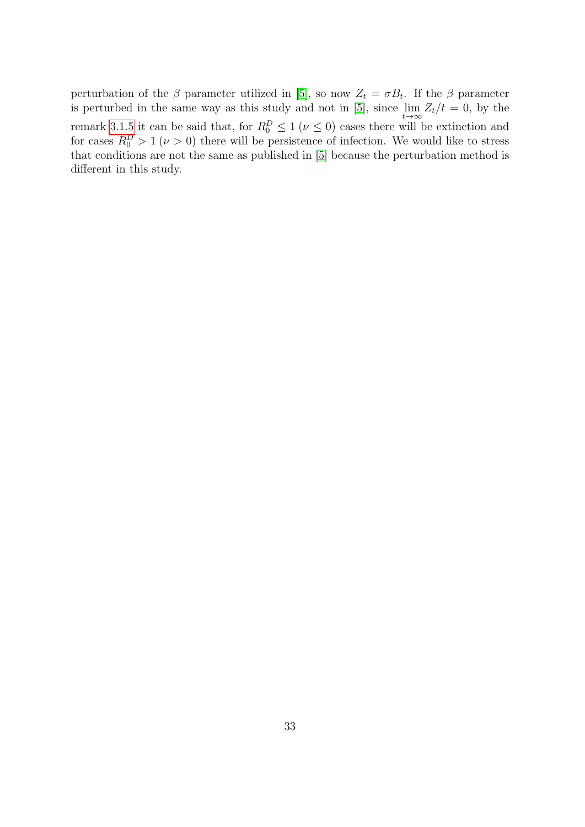perturbation of the  $\beta$  parameter utilized in [\[5\]](#page-37-0), so now  $Z_t = \sigma B_t$ . If the  $\beta$  parameter is perturbed in the same way as this study and not in [\[5\]](#page-37-0), since  $\lim_{t\to\infty} Z_t/t = 0$ , by the remark [3.1.5](#page-31-2) it can be said that, for  $R_0^D \leq 1$  ( $\nu \leq 0$ ) cases there will be extinction and for cases  $R_0^D > 1$  ( $\nu > 0$ ) there will be persistence of infection. We would like to stress that conditions are not the same as published in [\[5\]](#page-37-0) because the perturbation method is different in this study.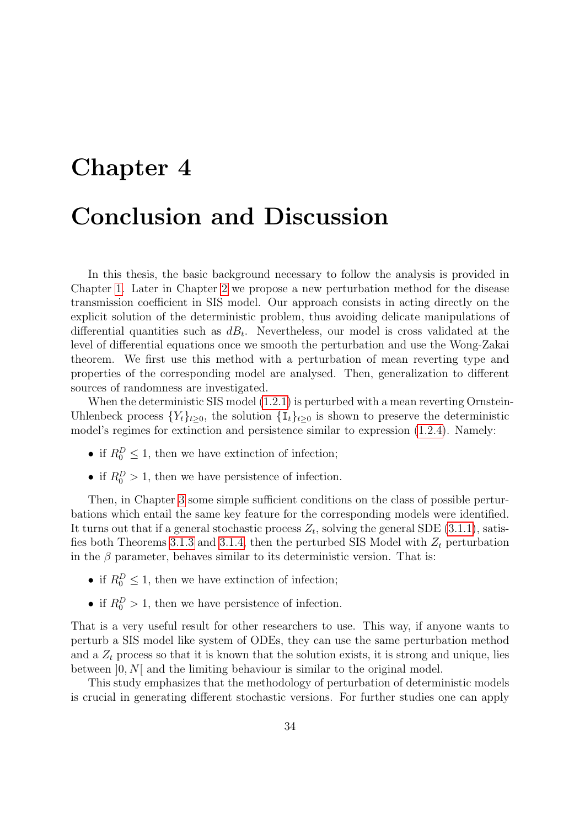# <span id="page-35-0"></span>Chapter 4 Conclusion and Discussion

In this thesis, the basic background necessary to follow the analysis is provided in Chapter [1.](#page-3-0) Later in Chapter [2](#page-18-0) we propose a new perturbation method for the disease transmission coefficient in SIS model. Our approach consists in acting directly on the explicit solution of the deterministic problem, thus avoiding delicate manipulations of differential quantities such as  $dB_t$ . Nevertheless, our model is cross validated at the level of differential equations once we smooth the perturbation and use the Wong-Zakai theorem. We first use this method with a perturbation of mean reverting type and properties of the corresponding model are analysed. Then, generalization to different sources of randomness are investigated.

When the deterministic SIS model [\(1.2.1\)](#page-15-0) is perturbed with a mean reverting Ornstein-Uhlenbeck process  $\{Y_t\}_{t\geq 0}$ , the solution  $\{I_t\}_{t\geq 0}$  is shown to preserve the deterministic model's regimes for extinction and persistence similar to expression [\(1.2.4\)](#page-15-3). Namely:

- if  $R_0^D \leq 1$ , then we have extinction of infection;
- if  $R_0^D > 1$ , then we have persistence of infection.

Then, in Chapter [3](#page-28-0) some simple sufficient conditions on the class of possible perturbations which entail the same key feature for the corresponding models were identified. It turns out that if a general stochastic process  $Z_t$ , solving the general SDE [\(3.1.1\)](#page-28-2), satis-fies both Theorems [3.1.3](#page-29-1) and [3.1.4,](#page-30-1) then the perturbed SIS Model with  $Z_t$  perturbation in the  $\beta$  parameter, behaves similar to its deterministic version. That is:

- if  $R_0^D \leq 1$ , then we have extinction of infection;
- if  $R_0^D > 1$ , then we have persistence of infection.

That is a very useful result for other researchers to use. This way, if anyone wants to perturb a SIS model like system of ODEs, they can use the same perturbation method and a  $Z_t$  process so that it is known that the solution exists, it is strong and unique, lies between  $]0, N[$  and the limiting behaviour is similar to the original model.

This study emphasizes that the methodology of perturbation of deterministic models is crucial in generating different stochastic versions. For further studies one can apply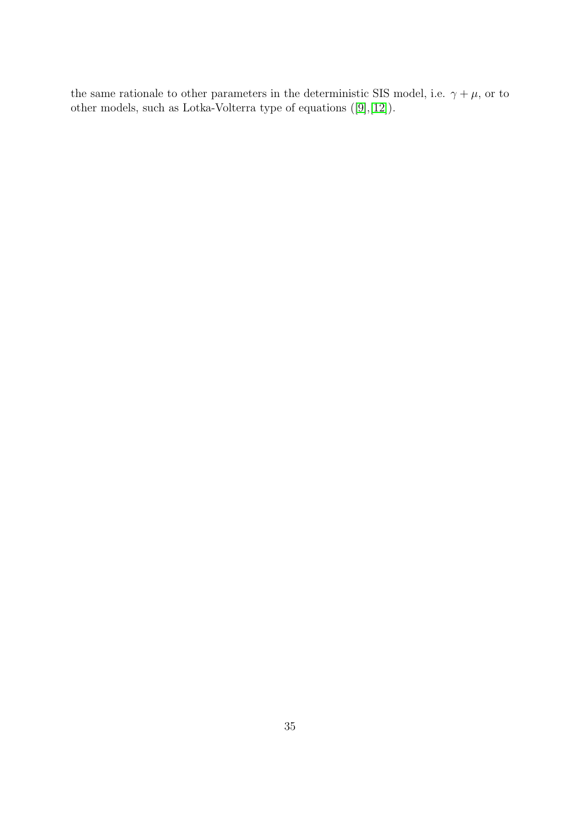the same rationale to other parameters in the deterministic SIS model, i.e.  $\gamma + \mu$ , or to other models, such as Lotka-Volterra type of equations ([\[9\]](#page-37-10),[\[12\]](#page-37-11)).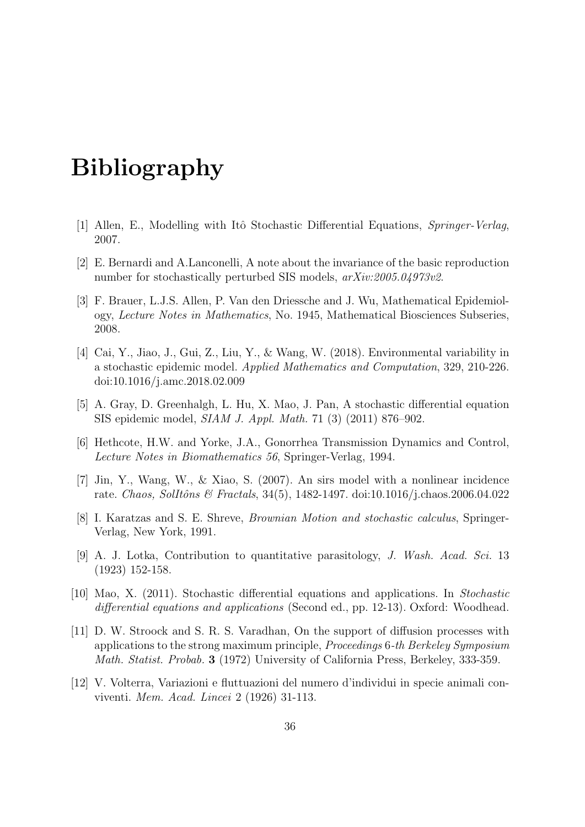# Bibliography

- <span id="page-37-3"></span>[1] Allen, E., Modelling with Itô Stochastic Differential Equations, Springer-Verlag, 2007.
- <span id="page-37-1"></span>[2] E. Bernardi and A.Lanconelli, A note about the invariance of the basic reproduction number for stochastically perturbed SIS models,  $arXiv:2005.04973v2$ .
- <span id="page-37-6"></span>[3] F. Brauer, L.J.S. Allen, P. Van den Driessche and J. Wu, Mathematical Epidemiology, Lecture Notes in Mathematics, No. 1945, Mathematical Biosciences Subseries, 2008.
- <span id="page-37-7"></span>[4] Cai, Y., Jiao, J., Gui, Z., Liu, Y., & Wang, W. (2018). Environmental variability in a stochastic epidemic model. Applied Mathematics and Computation, 329, 210-226. doi:10.1016/j.amc.2018.02.009
- <span id="page-37-0"></span>[5] A. Gray, D. Greenhalgh, L. Hu, X. Mao, J. Pan, A stochastic differential equation SIS epidemic model, SIAM J. Appl. Math. 71 (3) (2011) 876–902.
- <span id="page-37-4"></span>[6] Hethcote, H.W. and Yorke, J.A., Gonorrhea Transmission Dynamics and Control, Lecture Notes in Biomathematics 56, Springer-Verlag, 1994.
- <span id="page-37-5"></span>[7] Jin, Y., Wang, W., & Xiao, S. (2007). An sirs model with a nonlinear incidence rate. Chaos, SolItôns & Fractals, 34(5), 1482-1497. doi:10.1016/j.chaos.2006.04.022
- <span id="page-37-8"></span>[8] I. Karatzas and S. E. Shreve, Brownian Motion and stochastic calculus, Springer-Verlag, New York, 1991.
- <span id="page-37-10"></span>[9] A. J. Lotka, Contribution to quantitative parasitology, J. Wash. Acad. Sci. 13 (1923) 152-158.
- <span id="page-37-2"></span>[10] Mao, X. (2011). Stochastic differential equations and applications. In Stochastic differential equations and applications (Second ed., pp. 12-13). Oxford: Woodhead.
- <span id="page-37-9"></span>[11] D. W. Stroock and S. R. S. Varadhan, On the support of diffusion processes with applications to the strong maximum principle, Proceedings 6-th Berkeley Symposium Math. Statist. Probab. 3 (1972) University of California Press, Berkeley, 333-359.
- <span id="page-37-11"></span>[12] V. Volterra, Variazioni e fluttuazioni del numero d'individui in specie animali conviventi. Mem. Acad. Lincei 2 (1926) 31-113.